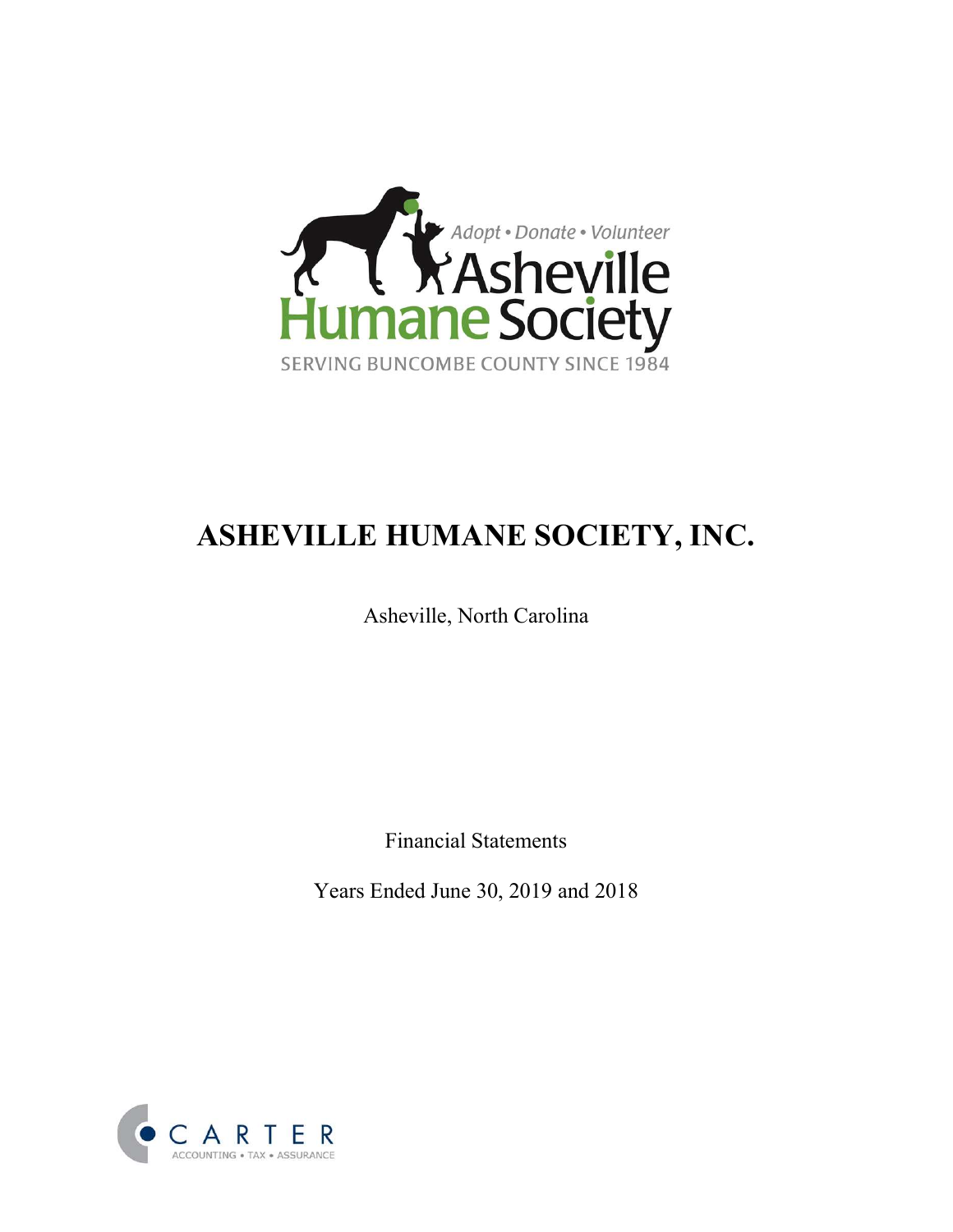

Asheville, North Carolina

Financial Statements

Years Ended June 30, 2019 and 2018

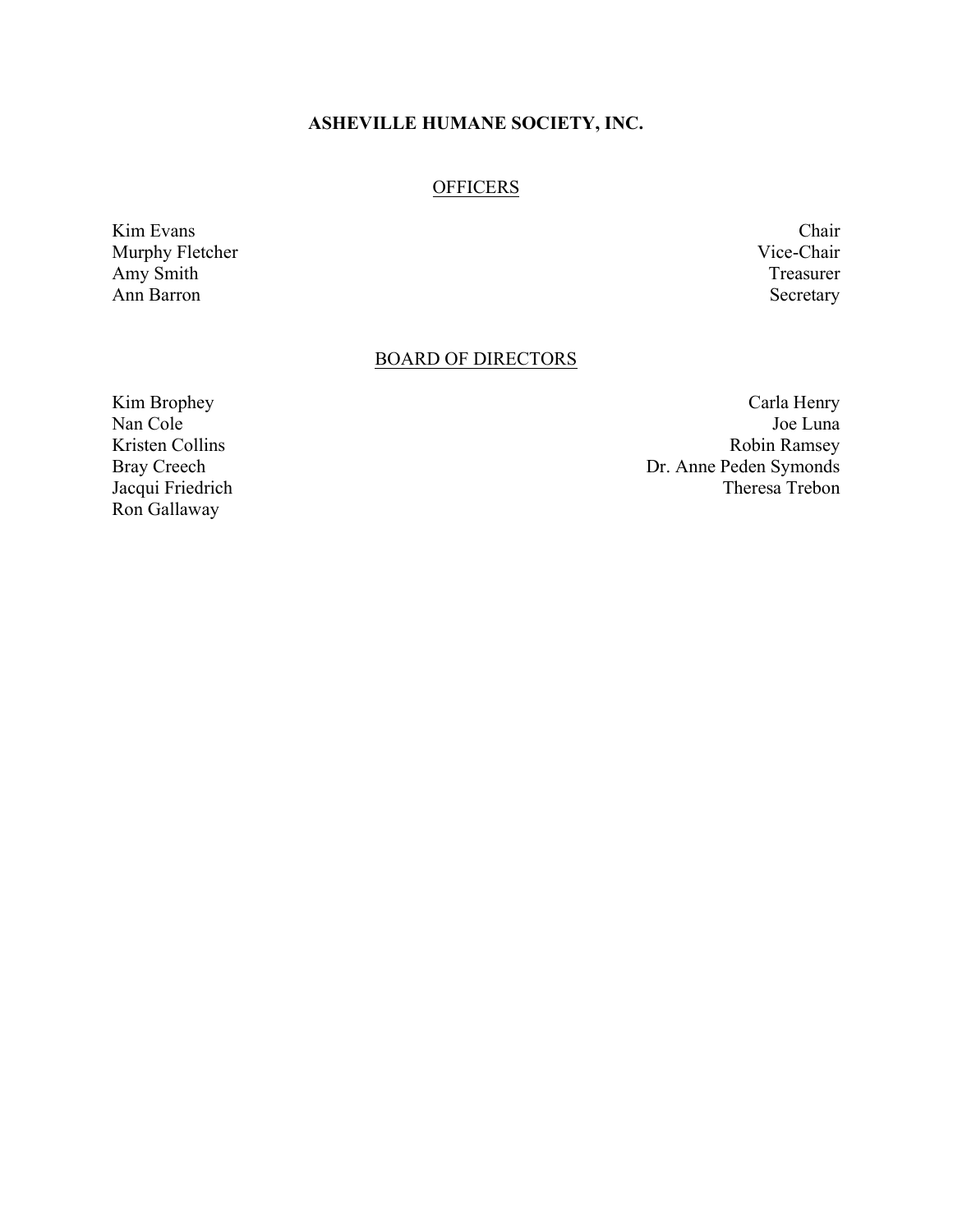#### **OFFICERS**

Kim Evans Murphy Fletcher Amy Smith Ann Barron

Chair Vice-Chair Treasurer Secretary

#### BOARD OF DIRECTORS

Kim Brophey Nan Cole Kristen Collins Bray Creech Jacqui Friedrich Ron Gallaway

Carla Henry Joe Luna Robin Ramsey Dr. Anne Peden Symonds Theresa Trebon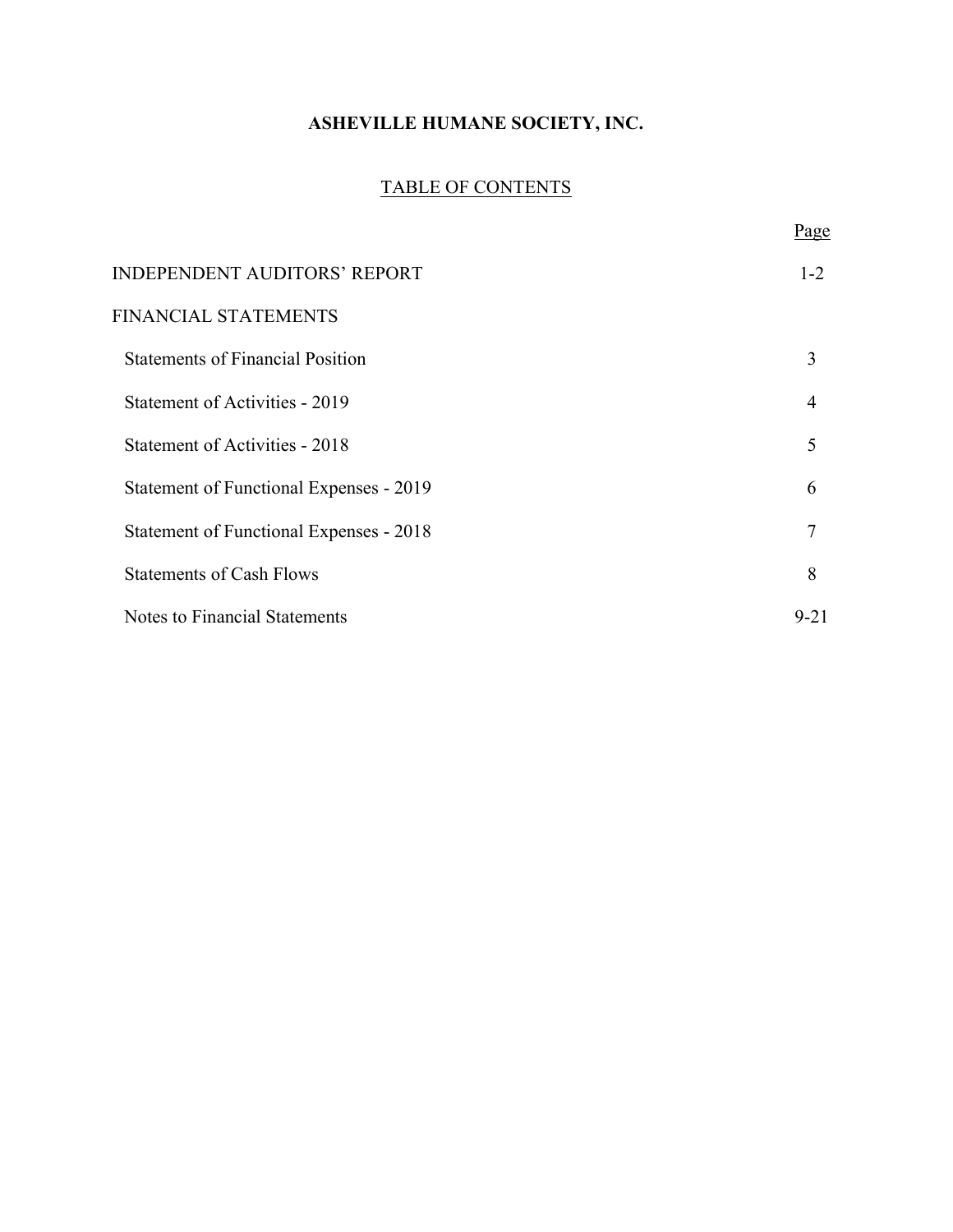# TABLE OF CONTENTS

Page

| <b>INDEPENDENT AUDITORS' REPORT</b>     | $1-2$          |
|-----------------------------------------|----------------|
| <b>FINANCIAL STATEMENTS</b>             |                |
| <b>Statements of Financial Position</b> | 3              |
| Statement of Activities - 2019          | $\overline{4}$ |
| Statement of Activities - 2018          | 5              |
| Statement of Functional Expenses - 2019 | 6              |
| Statement of Functional Expenses - 2018 | 7              |
| <b>Statements of Cash Flows</b>         | 8              |
| Notes to Financial Statements           | $9 - 21$       |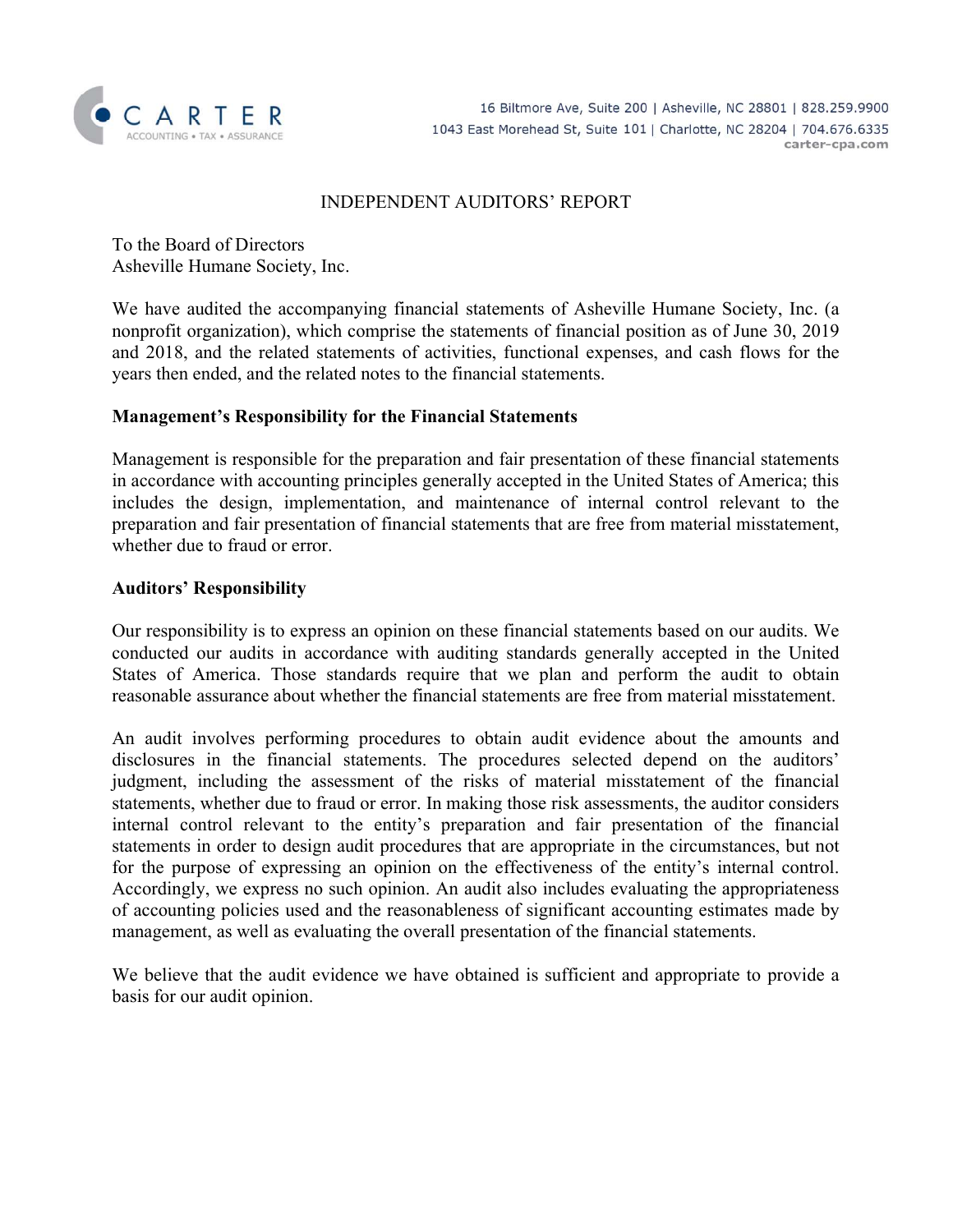

#### INDEPENDENT AUDITORS' REPORT

To the Board of Directors Asheville Humane Society, Inc.

We have audited the accompanying financial statements of Asheville Humane Society, Inc. (a nonprofit organization), which comprise the statements of financial position as of June 30, 2019 and 2018, and the related statements of activities, functional expenses, and cash flows for the years then ended, and the related notes to the financial statements.

#### Management's Responsibility for the Financial Statements

Management is responsible for the preparation and fair presentation of these financial statements in accordance with accounting principles generally accepted in the United States of America; this includes the design, implementation, and maintenance of internal control relevant to the preparation and fair presentation of financial statements that are free from material misstatement, whether due to fraud or error.

#### Auditors' Responsibility

Our responsibility is to express an opinion on these financial statements based on our audits. We conducted our audits in accordance with auditing standards generally accepted in the United States of America. Those standards require that we plan and perform the audit to obtain reasonable assurance about whether the financial statements are free from material misstatement.

An audit involves performing procedures to obtain audit evidence about the amounts and disclosures in the financial statements. The procedures selected depend on the auditors' judgment, including the assessment of the risks of material misstatement of the financial statements, whether due to fraud or error. In making those risk assessments, the auditor considers internal control relevant to the entity's preparation and fair presentation of the financial statements in order to design audit procedures that are appropriate in the circumstances, but not for the purpose of expressing an opinion on the effectiveness of the entity's internal control. Accordingly, we express no such opinion. An audit also includes evaluating the appropriateness of accounting policies used and the reasonableness of significant accounting estimates made by management, as well as evaluating the overall presentation of the financial statements.

We believe that the audit evidence we have obtained is sufficient and appropriate to provide a basis for our audit opinion.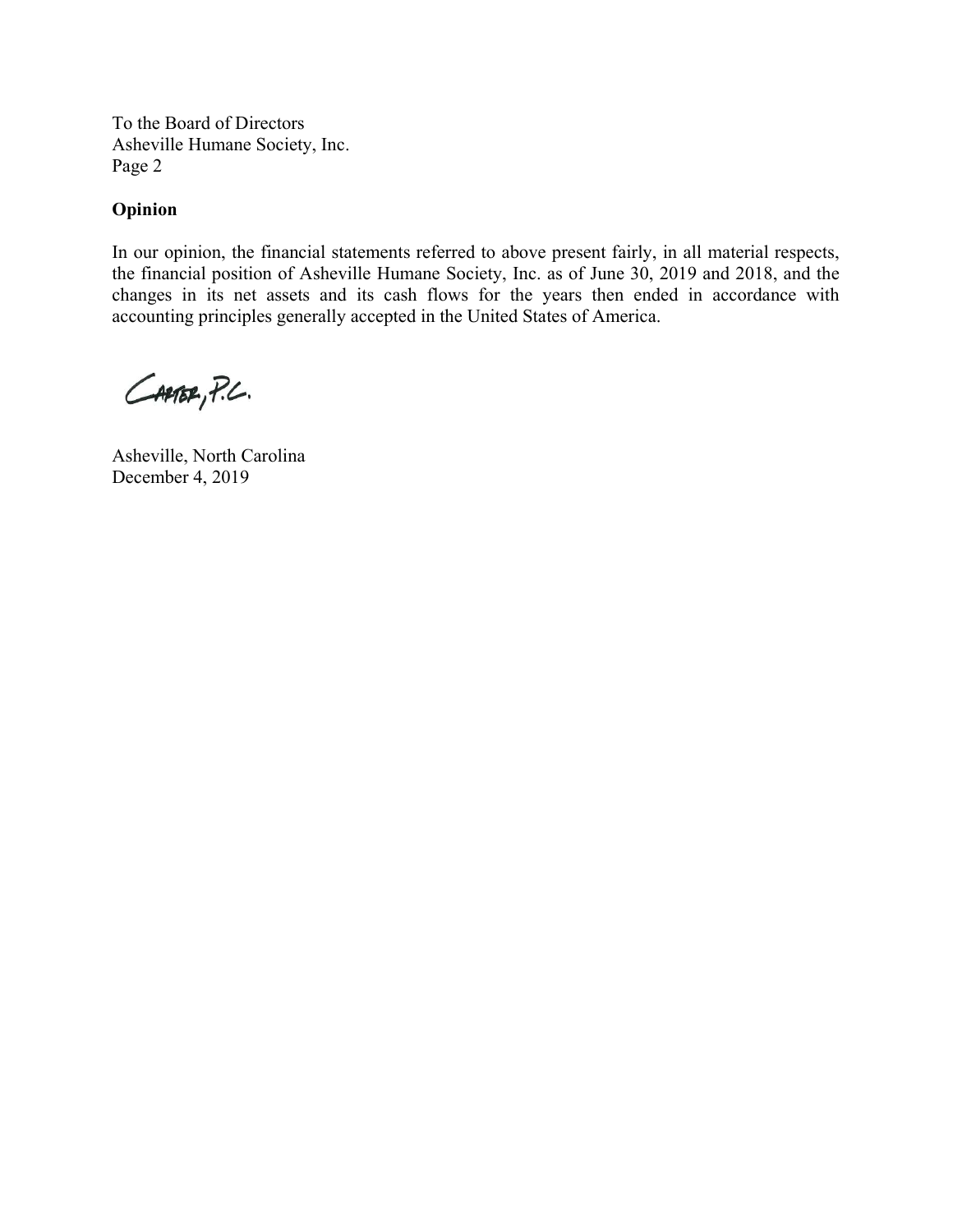To the Board of Directors Asheville Humane Society, Inc. Page 2

#### Opinion

In our opinion, the financial statements referred to above present fairly, in all material respects, the financial position of Asheville Humane Society, Inc. as of June 30, 2019 and 2018, and the changes in its net assets and its cash flows for the years then ended in accordance with accounting principles generally accepted in the United States of America.

CAMER, P.C.

Asheville, North Carolina December 4, 2019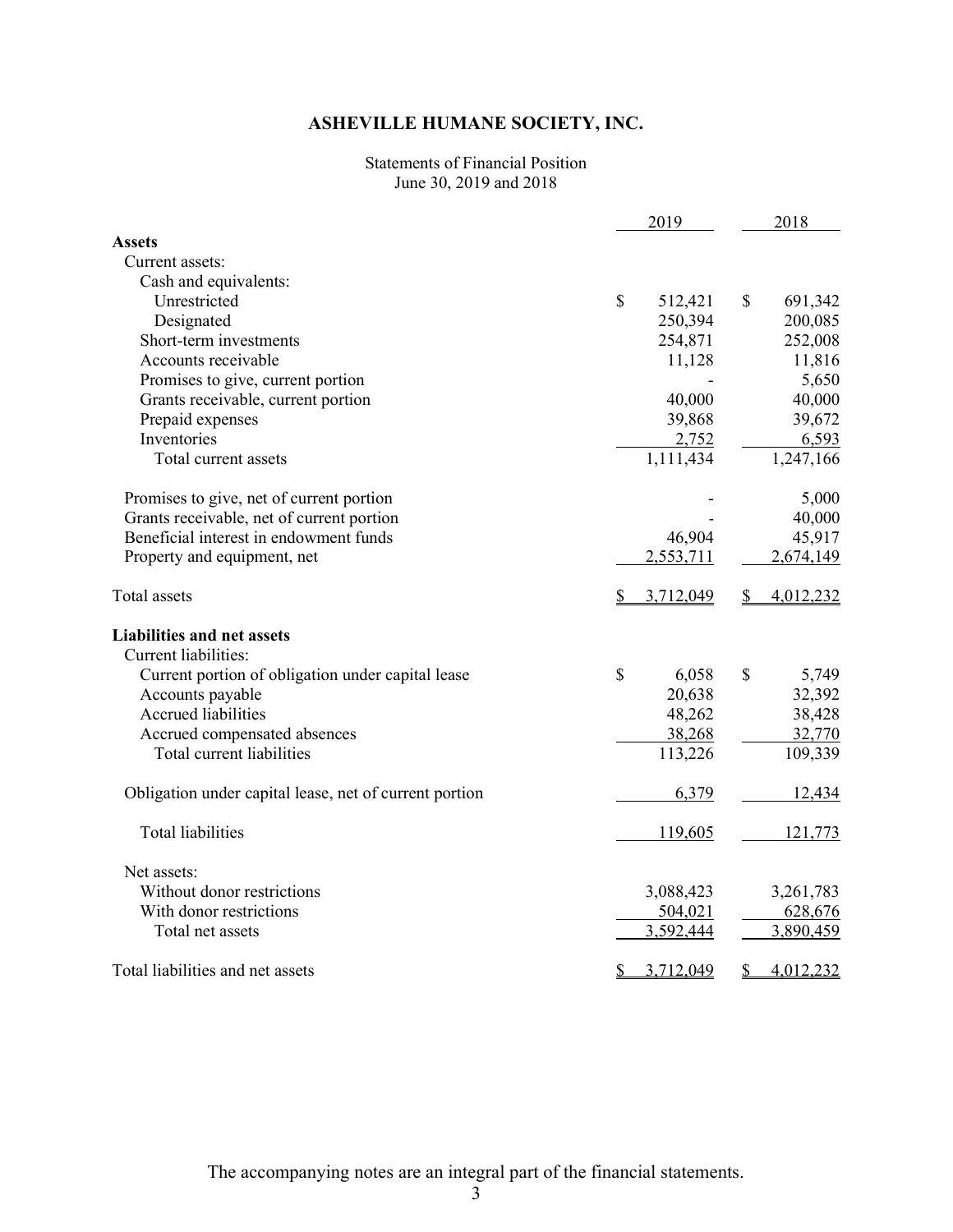#### Statements of Financial Position June 30, 2019 and 2018

|                                                        |    | 2019      |              | 2018      |
|--------------------------------------------------------|----|-----------|--------------|-----------|
| <b>Assets</b>                                          |    |           |              |           |
| Current assets:                                        |    |           |              |           |
| Cash and equivalents:                                  |    |           |              |           |
| Unrestricted                                           | \$ | 512,421   | \$           | 691,342   |
| Designated                                             |    | 250,394   |              | 200,085   |
| Short-term investments                                 |    | 254,871   |              | 252,008   |
| Accounts receivable                                    |    | 11,128    |              | 11,816    |
| Promises to give, current portion                      |    |           |              | 5,650     |
| Grants receivable, current portion                     |    | 40,000    |              | 40,000    |
| Prepaid expenses                                       |    | 39,868    |              | 39,672    |
| Inventories                                            |    | 2,752     |              | 6,593     |
| Total current assets                                   |    | 1,111,434 |              | 1,247,166 |
| Promises to give, net of current portion               |    |           |              | 5,000     |
| Grants receivable, net of current portion              |    |           |              | 40,000    |
| Beneficial interest in endowment funds                 |    | 46,904    |              | 45,917    |
| Property and equipment, net                            |    | 2,553,711 |              | 2,674,149 |
| Total assets                                           | S. | 3,712,049 | S            | 4,012,232 |
| <b>Liabilities and net assets</b>                      |    |           |              |           |
| Current liabilities:                                   |    |           |              |           |
| Current portion of obligation under capital lease      | \$ | 6,058     | $\mathbb{S}$ | 5,749     |
| Accounts payable                                       |    | 20,638    |              | 32,392    |
| Accrued liabilities                                    |    | 48,262    |              | 38,428    |
| Accrued compensated absences                           |    | 38,268    |              | 32,770    |
| Total current liabilities                              |    | 113,226   |              | 109,339   |
| Obligation under capital lease, net of current portion |    | 6,379     |              | 12,434    |
| <b>Total liabilities</b>                               |    | 119,605   |              | 121,773   |
| Net assets:                                            |    |           |              |           |
| Without donor restrictions                             |    | 3,088,423 |              | 3,261,783 |
| With donor restrictions                                |    | 504,021   |              | 628,676   |
| Total net assets                                       |    | 3,592,444 |              | 3,890,459 |
| Total liabilities and net assets                       | \$ | 3,712,049 | \$           | 4,012,232 |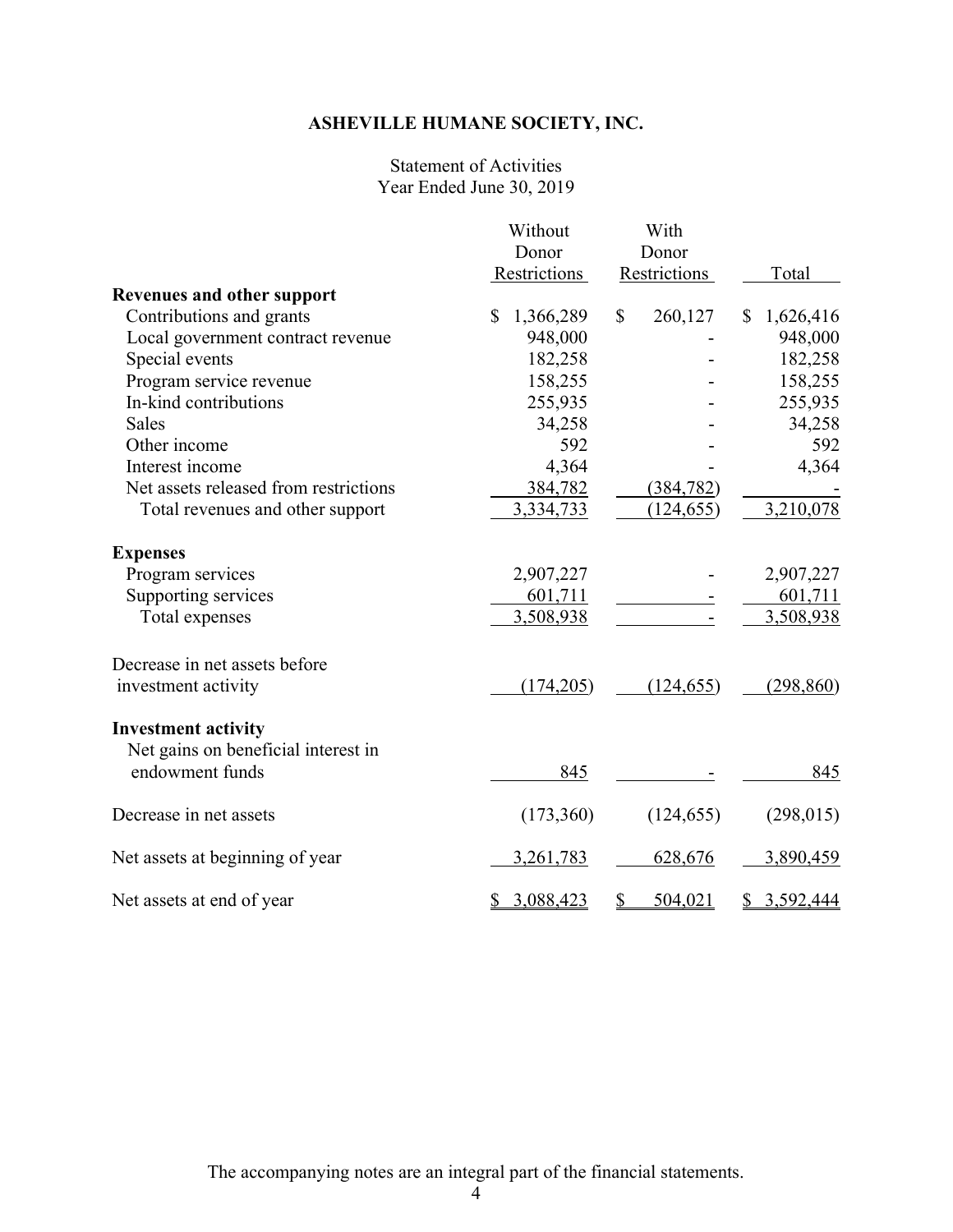### Statement of Activities Year Ended June 30, 2019

|                                                                   | Without         | With          |                 |
|-------------------------------------------------------------------|-----------------|---------------|-----------------|
|                                                                   | Donor           | Donor         |                 |
|                                                                   | Restrictions    | Restrictions  | Total           |
| <b>Revenues and other support</b>                                 |                 |               |                 |
| Contributions and grants                                          | \$<br>1,366,289 | \$<br>260,127 | 1,626,416<br>\$ |
| Local government contract revenue                                 | 948,000         |               | 948,000         |
| Special events                                                    | 182,258         |               | 182,258         |
| Program service revenue                                           | 158,255         |               | 158,255         |
| In-kind contributions                                             | 255,935         |               | 255,935         |
| <b>Sales</b>                                                      | 34,258          |               | 34,258          |
| Other income                                                      | 592             |               | 592             |
| Interest income                                                   | 4,364           |               | 4,364           |
| Net assets released from restrictions                             | 384,782         | (384, 782)    |                 |
| Total revenues and other support                                  | 3,334,733       | (124, 655)    | 3,210,078       |
| <b>Expenses</b>                                                   |                 |               |                 |
| Program services                                                  | 2,907,227       |               | 2,907,227       |
| Supporting services                                               | 601,711         |               | 601,711         |
| Total expenses                                                    | 3,508,938       |               | 3,508,938       |
| Decrease in net assets before                                     |                 |               |                 |
| investment activity                                               | (174,205)       | (124, 655)    | (298, 860)      |
| <b>Investment activity</b><br>Net gains on beneficial interest in |                 |               |                 |
| endowment funds                                                   | 845             |               | 845             |
| Decrease in net assets                                            | (173,360)       | (124, 655)    | (298, 015)      |
| Net assets at beginning of year                                   | 3,261,783       | 628,676       | 3,890,459       |
| Net assets at end of year                                         | 3,088,423       | 504,021       | 3,592,444       |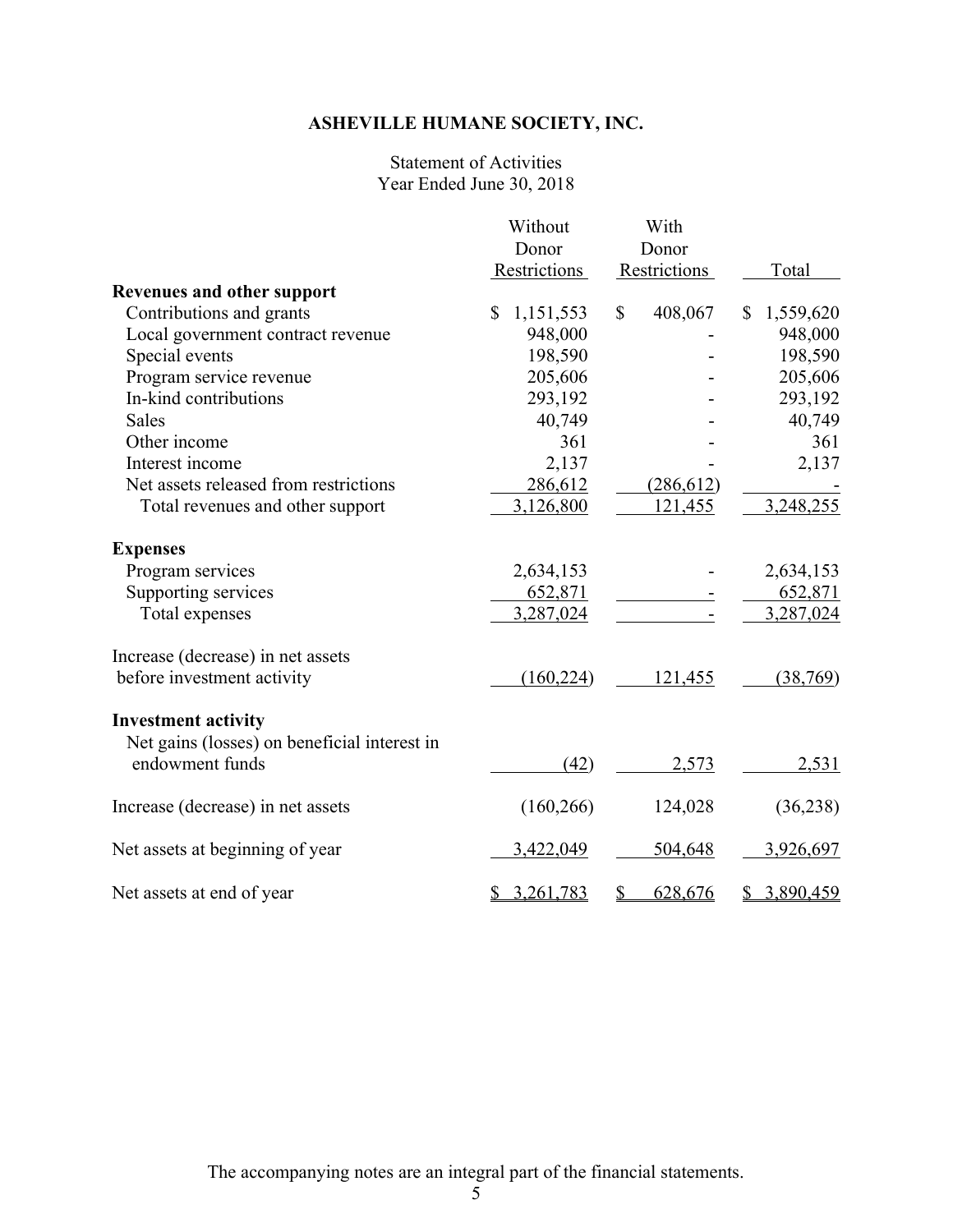#### Statement of Activities Year Ended June 30, 2018

|                                                                            | Without         | With                    |                 |
|----------------------------------------------------------------------------|-----------------|-------------------------|-----------------|
|                                                                            | Donor           | Donor                   |                 |
|                                                                            | Restrictions    | Restrictions            | Total           |
| <b>Revenues and other support</b>                                          |                 |                         |                 |
| Contributions and grants                                                   | \$<br>1,151,553 | $\mathbb{S}$<br>408,067 | 1,559,620<br>\$ |
| Local government contract revenue                                          | 948,000         |                         | 948,000         |
| Special events                                                             | 198,590         |                         | 198,590         |
| Program service revenue                                                    | 205,606         |                         | 205,606         |
| In-kind contributions                                                      | 293,192         |                         | 293,192         |
| <b>Sales</b>                                                               | 40,749          |                         | 40,749          |
| Other income                                                               | 361             |                         | 361             |
| Interest income                                                            | 2,137           |                         | 2,137           |
| Net assets released from restrictions                                      | 286,612         | (286, 612)              |                 |
| Total revenues and other support                                           | 3,126,800       | 121,455                 | 3,248,255       |
| <b>Expenses</b>                                                            |                 |                         |                 |
| Program services                                                           | 2,634,153       |                         | 2,634,153       |
| Supporting services                                                        | 652,871         |                         | 652,871         |
| Total expenses                                                             | 3,287,024       |                         | 3,287,024       |
| Increase (decrease) in net assets                                          |                 |                         |                 |
| before investment activity                                                 | (160, 224)      | 121,455                 | (38,769)        |
| <b>Investment activity</b><br>Net gains (losses) on beneficial interest in |                 |                         |                 |
| endowment funds                                                            | (42)            | 2,573                   | 2,531           |
| Increase (decrease) in net assets                                          | (160, 266)      | 124,028                 | (36, 238)       |
| Net assets at beginning of year                                            | 3,422,049       | 504,648                 | 3,926,697       |
| Net assets at end of year                                                  | 3,261,783<br>\$ | 628,676<br>\$           | 3,890,459<br>\$ |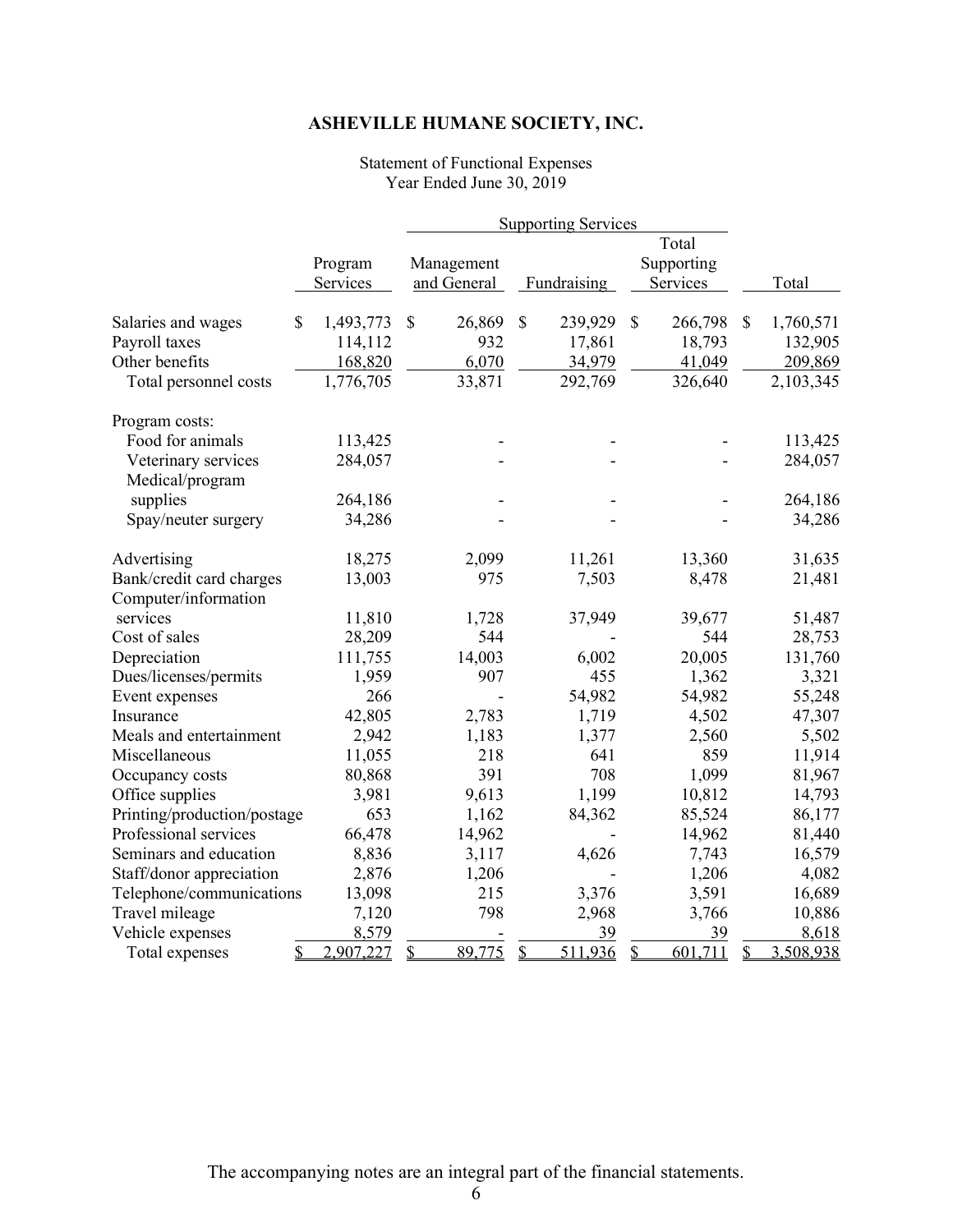#### Statement of Functional Expenses Year Ended June 30, 2019

|                                                       |                                       | <b>Supporting Services</b> |                           |                |                             |              |                                 |              |                                 |
|-------------------------------------------------------|---------------------------------------|----------------------------|---------------------------|----------------|-----------------------------|--------------|---------------------------------|--------------|---------------------------------|
|                                                       | Program<br>Services                   |                            | Management<br>and General |                | Fundraising                 |              | Total<br>Supporting<br>Services |              | Total                           |
| Salaries and wages<br>Payroll taxes<br>Other benefits | \$<br>1,493,773<br>114,112<br>168,820 | \$                         | 26,869<br>932<br>6,070    | \$             | 239,929<br>17,861<br>34,979 | $\mathbb{S}$ | 266,798<br>18,793<br>41,049     | $\mathbb{S}$ | 1,760,571<br>132,905<br>209,869 |
| Total personnel costs                                 | 1,776,705                             |                            | 33,871                    |                | 292,769                     |              | 326,640                         |              | 2,103,345                       |
| Program costs:                                        |                                       |                            |                           |                |                             |              |                                 |              |                                 |
| Food for animals                                      | 113,425                               |                            |                           |                |                             |              |                                 |              | 113,425                         |
| Veterinary services<br>Medical/program                | 284,057                               |                            |                           |                |                             |              |                                 |              | 284,057                         |
| supplies                                              | 264,186                               |                            |                           |                |                             |              |                                 |              | 264,186                         |
| Spay/neuter surgery                                   | 34,286                                |                            |                           |                |                             |              |                                 |              | 34,286                          |
| Advertising                                           | 18,275                                |                            | 2,099                     |                | 11,261                      |              | 13,360                          |              | 31,635                          |
| Bank/credit card charges                              | 13,003                                |                            | 975                       |                | 7,503                       |              | 8,478                           |              | 21,481                          |
| Computer/information                                  |                                       |                            |                           |                |                             |              |                                 |              |                                 |
| services                                              | 11,810                                |                            | 1,728                     |                | 37,949                      |              | 39,677                          |              | 51,487                          |
| Cost of sales                                         | 28,209                                |                            | 544                       |                |                             |              | 544                             |              | 28,753                          |
| Depreciation                                          | 111,755                               |                            | 14,003                    |                | 6,002                       |              | 20,005                          |              | 131,760                         |
| Dues/licenses/permits                                 | 1,959                                 |                            | 907                       |                | 455                         |              | 1,362                           |              | 3,321                           |
| Event expenses                                        | 266                                   |                            |                           |                | 54,982                      |              | 54,982                          |              | 55,248                          |
| Insurance                                             | 42,805                                |                            | 2,783                     |                | 1,719                       |              | 4,502                           |              | 47,307                          |
| Meals and entertainment                               | 2,942                                 |                            | 1,183                     |                | 1,377                       |              | 2,560                           |              | 5,502                           |
| Miscellaneous                                         | 11,055                                |                            | 218                       |                | 641                         |              | 859                             |              | 11,914                          |
| Occupancy costs                                       | 80,868                                |                            | 391                       |                | 708                         |              | 1,099                           |              | 81,967                          |
| Office supplies                                       | 3,981                                 |                            | 9,613                     |                | 1,199                       |              | 10,812                          |              | 14,793                          |
| Printing/production/postage                           | 653                                   |                            | 1,162                     |                | 84,362                      |              | 85,524                          |              | 86,177                          |
| Professional services                                 | 66,478                                |                            | 14,962                    |                |                             |              | 14,962                          |              | 81,440                          |
| Seminars and education                                | 8,836                                 |                            | 3,117                     |                | 4,626                       |              | 7,743                           |              | 16,579                          |
| Staff/donor appreciation                              | 2,876                                 |                            | 1,206                     |                |                             |              | 1,206                           |              | 4,082                           |
| Telephone/communications                              | 13,098                                |                            | 215                       |                | 3,376                       |              | 3,591                           |              | 16,689                          |
| Travel mileage                                        | 7,120                                 |                            | 798                       |                | 2,968                       |              | 3,766                           |              | 10,886                          |
| Vehicle expenses                                      | 8,579                                 |                            |                           |                | 39                          |              | 39                              |              | 8,618                           |
| Total expenses                                        | \$<br>2,907,227                       | \$                         | 89,775                    | $\overline{2}$ | 511,936                     | \$           | 601,711                         | \$           | 3,508,938                       |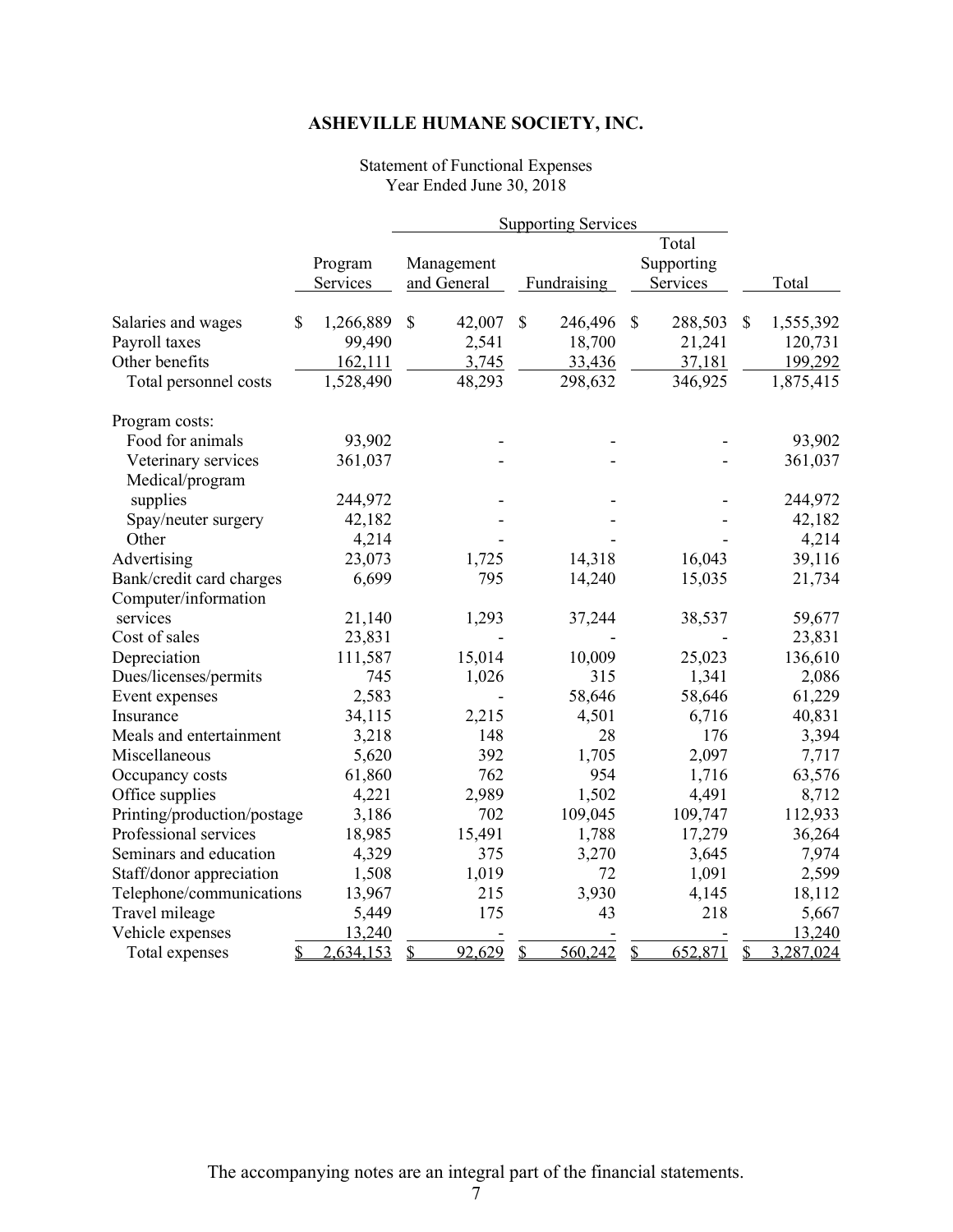#### Statement of Functional Expenses Year Ended June 30, 2018

|                                         |                           | <b>Supporting Services</b> |                           |                        |                   |               |                                 |                            |
|-----------------------------------------|---------------------------|----------------------------|---------------------------|------------------------|-------------------|---------------|---------------------------------|----------------------------|
|                                         | Program<br>Services       |                            | Management<br>and General |                        | Fundraising       |               | Total<br>Supporting<br>Services | Total                      |
| Salaries and wages<br>Payroll taxes     | \$<br>1,266,889<br>99,490 | $\mathcal{S}$              | 42,007<br>2,541           | \$                     | 246,496<br>18,700 | $\mathcal{S}$ | 288,503<br>21,241               | \$<br>1,555,392<br>120,731 |
| Other benefits<br>Total personnel costs | 162,111<br>1,528,490      |                            | 3,745<br>48,293           |                        | 33,436<br>298,632 |               | 37,181<br>346,925               | 199,292<br>1,875,415       |
|                                         |                           |                            |                           |                        |                   |               |                                 |                            |
| Program costs:<br>Food for animals      | 93,902                    |                            |                           |                        |                   |               |                                 | 93,902                     |
|                                         |                           |                            |                           |                        |                   |               |                                 |                            |
| Veterinary services<br>Medical/program  | 361,037                   |                            |                           |                        |                   |               |                                 | 361,037                    |
| supplies                                | 244,972                   |                            |                           |                        |                   |               |                                 | 244,972                    |
| Spay/neuter surgery                     | 42,182                    |                            |                           |                        |                   |               |                                 | 42,182                     |
| Other                                   | 4,214                     |                            |                           |                        |                   |               |                                 | 4,214                      |
| Advertising                             | 23,073                    |                            | 1,725                     |                        | 14,318            |               | 16,043                          | 39,116                     |
| Bank/credit card charges                | 6,699                     |                            | 795                       |                        | 14,240            |               | 15,035                          | 21,734                     |
| Computer/information                    |                           |                            |                           |                        |                   |               |                                 |                            |
| services                                | 21,140                    |                            | 1,293                     |                        | 37,244            |               | 38,537                          | 59,677                     |
| Cost of sales                           | 23,831                    |                            |                           |                        |                   |               |                                 | 23,831                     |
| Depreciation                            | 111,587                   |                            | 15,014                    |                        | 10,009            |               | 25,023                          | 136,610                    |
| Dues/licenses/permits                   | 745                       |                            | 1,026                     |                        | 315               |               | 1,341                           | 2,086                      |
| Event expenses                          | 2,583                     |                            |                           |                        | 58,646            |               | 58,646                          | 61,229                     |
| Insurance                               | 34,115                    |                            | 2,215                     |                        | 4,501             |               | 6,716                           | 40,831                     |
| Meals and entertainment                 | 3,218                     |                            | 148                       |                        | 28                |               | 176                             | 3,394                      |
| Miscellaneous                           | 5,620                     |                            | 392                       |                        | 1,705             |               | 2,097                           | 7,717                      |
| Occupancy costs                         | 61,860                    |                            | 762                       |                        | 954               |               | 1,716                           | 63,576                     |
| Office supplies                         | 4,221                     |                            | 2,989                     |                        | 1,502             |               | 4,491                           | 8,712                      |
| Printing/production/postage             | 3,186                     |                            | 702                       |                        | 109,045           |               | 109,747                         | 112,933                    |
| Professional services                   | 18,985                    |                            | 15,491                    |                        | 1,788             |               | 17,279                          | 36,264                     |
| Seminars and education                  | 4,329                     |                            | 375                       |                        | 3,270             |               | 3,645                           | 7,974                      |
| Staff/donor appreciation                | 1,508                     |                            | 1,019                     |                        | 72                |               | 1,091                           | 2,599                      |
| Telephone/communications                | 13,967                    |                            | 215                       |                        | 3,930             |               | 4,145                           | 18,112                     |
| Travel mileage                          | 5,449                     |                            | 175                       |                        | 43                |               | 218                             | 5,667                      |
| Vehicle expenses                        | 13,240                    |                            |                           |                        |                   |               |                                 | 13,240                     |
| Total expenses                          | \$<br>2,634,153           | \$                         | 92,629                    | $\mathbf{\mathcal{S}}$ | 560,242           | \$            | 652,871                         | \$<br>3,287,024            |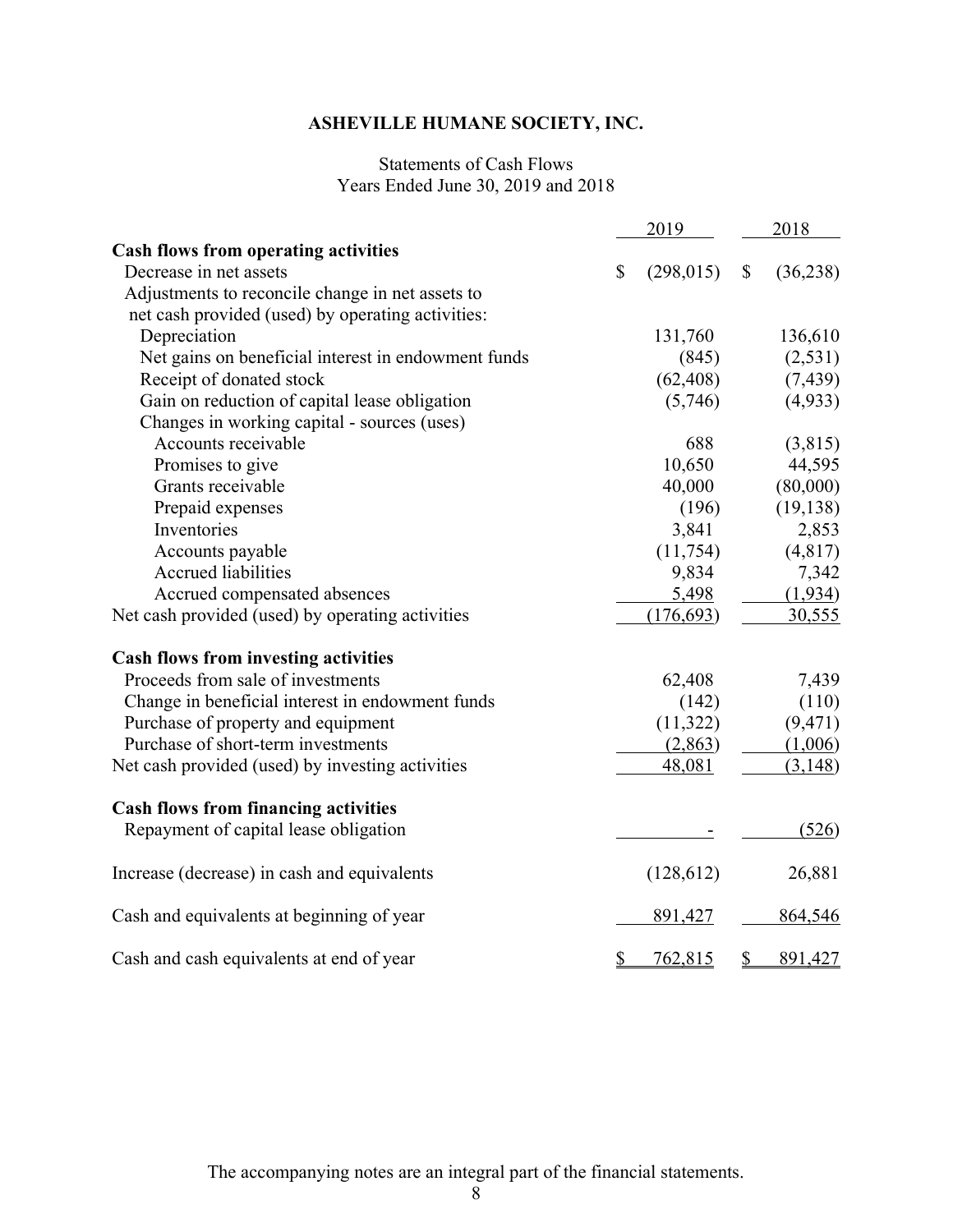### Statements of Cash Flows Years Ended June 30, 2019 and 2018

|                                                     |                | 2019       | 2018            |  |
|-----------------------------------------------------|----------------|------------|-----------------|--|
| <b>Cash flows from operating activities</b>         |                |            |                 |  |
| Decrease in net assets                              | \$             | (298, 015) | \$<br>(36, 238) |  |
| Adjustments to reconcile change in net assets to    |                |            |                 |  |
| net cash provided (used) by operating activities:   |                |            |                 |  |
| Depreciation                                        |                | 131,760    | 136,610         |  |
| Net gains on beneficial interest in endowment funds |                | (845)      | (2, 531)        |  |
| Receipt of donated stock                            |                | (62, 408)  | (7, 439)        |  |
| Gain on reduction of capital lease obligation       |                | (5,746)    | (4,933)         |  |
| Changes in working capital - sources (uses)         |                |            |                 |  |
| Accounts receivable                                 |                | 688        | (3,815)         |  |
| Promises to give                                    |                | 10,650     | 44,595          |  |
| Grants receivable                                   |                | 40,000     | (80,000)        |  |
| Prepaid expenses                                    |                | (196)      | (19, 138)       |  |
| Inventories                                         |                | 3,841      | 2,853           |  |
| Accounts payable                                    |                | (11, 754)  | (4, 817)        |  |
| <b>Accrued liabilities</b>                          |                | 9,834      | 7,342           |  |
| Accrued compensated absences                        |                | 5,498      | (1,934)         |  |
| Net cash provided (used) by operating activities    |                | (176, 693) | 30,555          |  |
| <b>Cash flows from investing activities</b>         |                |            |                 |  |
| Proceeds from sale of investments                   |                | 62,408     | 7,439           |  |
| Change in beneficial interest in endowment funds    |                | (142)      | (110)           |  |
| Purchase of property and equipment                  |                | (11, 322)  | (9, 471)        |  |
| Purchase of short-term investments                  |                | (2,863)    | (1,006)         |  |
| Net cash provided (used) by investing activities    |                | 48,081     | (3,148)         |  |
| <b>Cash flows from financing activities</b>         |                |            |                 |  |
| Repayment of capital lease obligation               |                |            | (526)           |  |
| Increase (decrease) in cash and equivalents         |                | (128, 612) | 26,881          |  |
| Cash and equivalents at beginning of year           |                | 891,427    | 864,546         |  |
| Cash and cash equivalents at end of year            | $\overline{2}$ | 762,815    | \$<br>891,427   |  |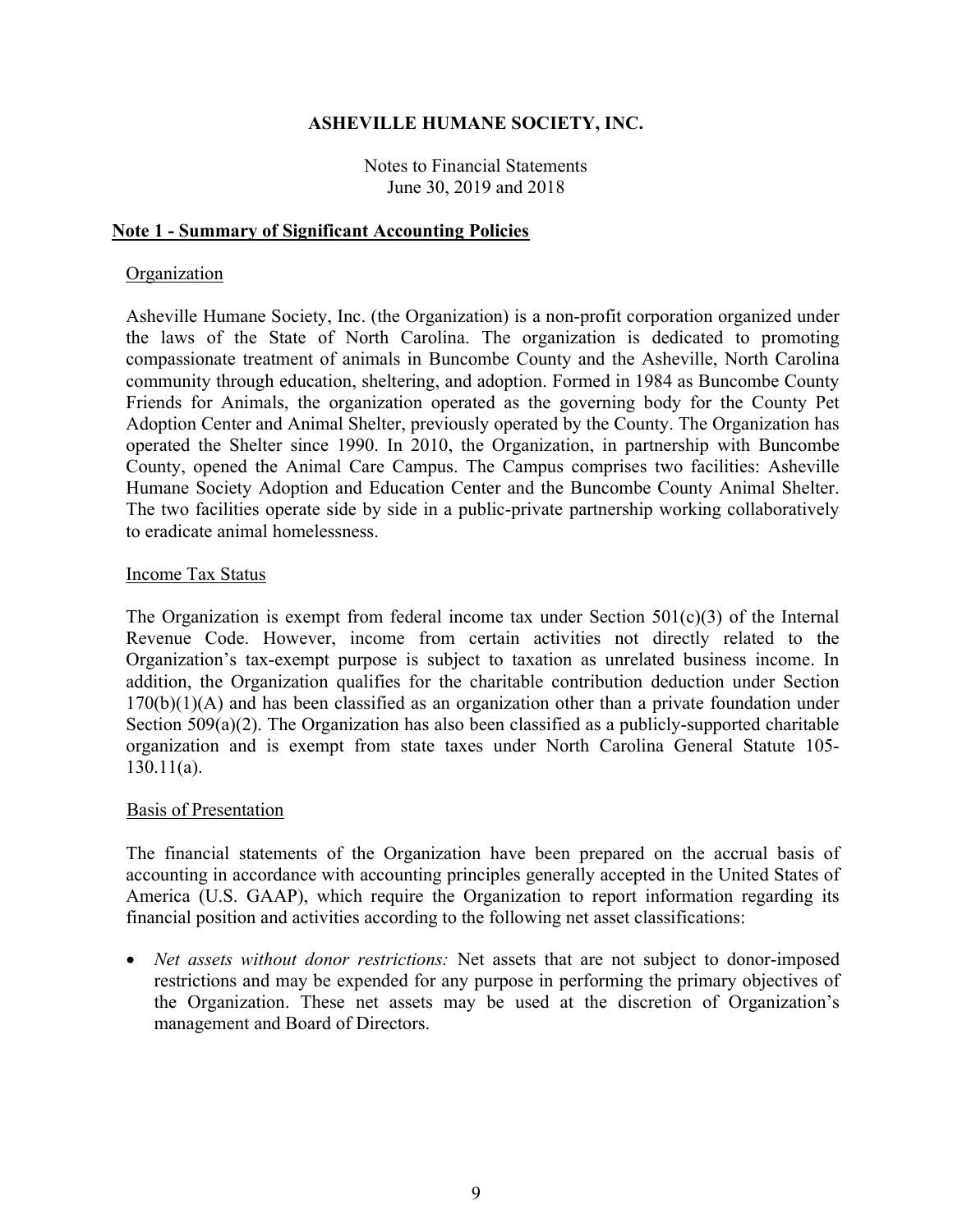Notes to Financial Statements June 30, 2019 and 2018

#### Note 1 - Summary of Significant Accounting Policies

#### **Organization**

Asheville Humane Society, Inc. (the Organization) is a non-profit corporation organized under the laws of the State of North Carolina. The organization is dedicated to promoting compassionate treatment of animals in Buncombe County and the Asheville, North Carolina community through education, sheltering, and adoption. Formed in 1984 as Buncombe County Friends for Animals, the organization operated as the governing body for the County Pet Adoption Center and Animal Shelter, previously operated by the County. The Organization has operated the Shelter since 1990. In 2010, the Organization, in partnership with Buncombe County, opened the Animal Care Campus. The Campus comprises two facilities: Asheville Humane Society Adoption and Education Center and the Buncombe County Animal Shelter. The two facilities operate side by side in a public-private partnership working collaboratively to eradicate animal homelessness.

#### Income Tax Status

The Organization is exempt from federal income tax under Section  $501(c)(3)$  of the Internal Revenue Code. However, income from certain activities not directly related to the Organization's tax-exempt purpose is subject to taxation as unrelated business income. In addition, the Organization qualifies for the charitable contribution deduction under Section  $170(b)(1)(A)$  and has been classified as an organization other than a private foundation under Section 509(a)(2). The Organization has also been classified as a publicly-supported charitable organization and is exempt from state taxes under North Carolina General Statute 105- 130.11(a).

#### Basis of Presentation

The financial statements of the Organization have been prepared on the accrual basis of accounting in accordance with accounting principles generally accepted in the United States of America (U.S. GAAP), which require the Organization to report information regarding its financial position and activities according to the following net asset classifications:

• *Net assets without donor restrictions:* Net assets that are not subject to donor-imposed restrictions and may be expended for any purpose in performing the primary objectives of the Organization. These net assets may be used at the discretion of Organization's management and Board of Directors.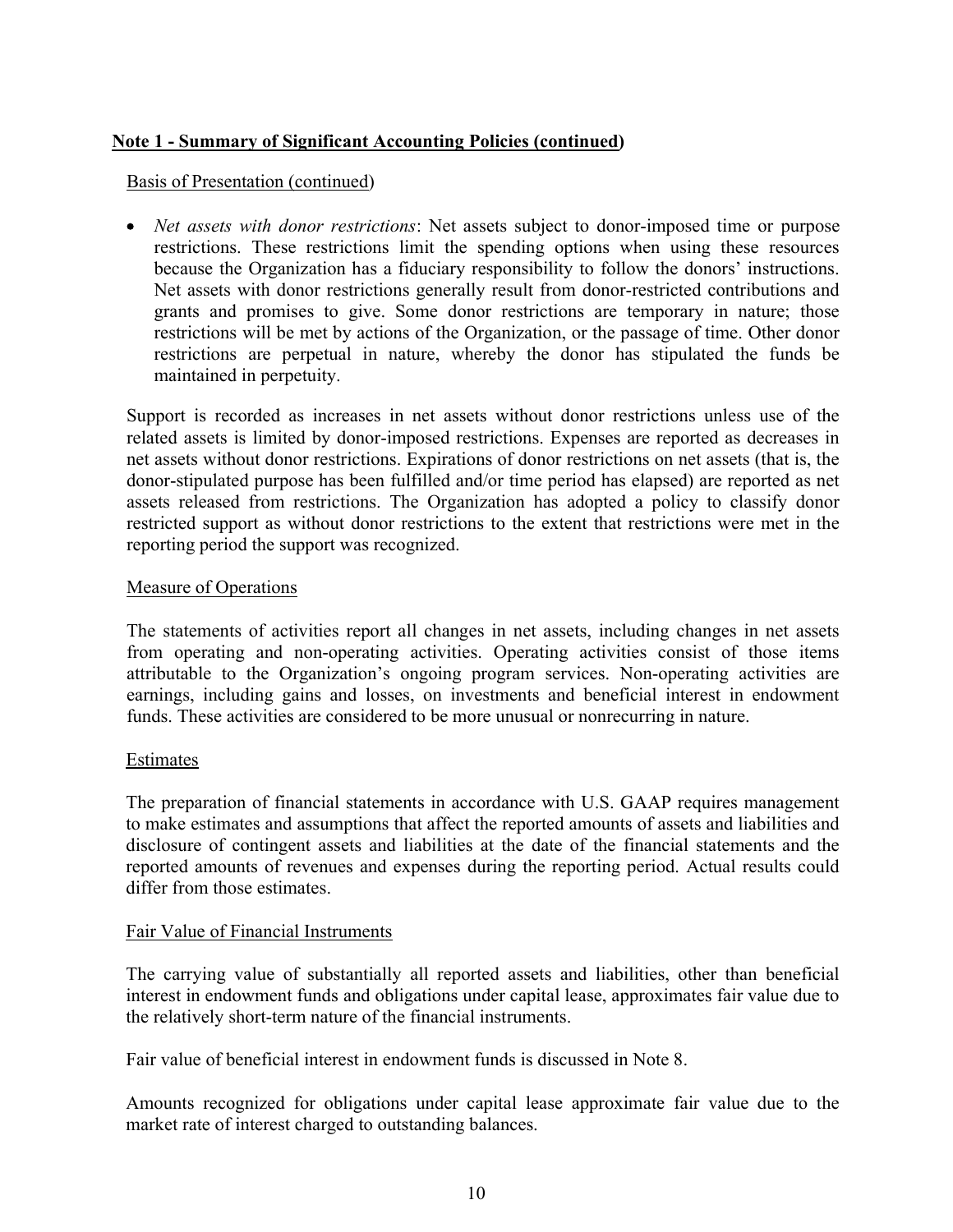#### Basis of Presentation (continued)

• *Net assets with donor restrictions:* Net assets subject to donor-imposed time or purpose restrictions. These restrictions limit the spending options when using these resources because the Organization has a fiduciary responsibility to follow the donors' instructions. Net assets with donor restrictions generally result from donor-restricted contributions and grants and promises to give. Some donor restrictions are temporary in nature; those restrictions will be met by actions of the Organization, or the passage of time. Other donor restrictions are perpetual in nature, whereby the donor has stipulated the funds be maintained in perpetuity.

Support is recorded as increases in net assets without donor restrictions unless use of the related assets is limited by donor-imposed restrictions. Expenses are reported as decreases in net assets without donor restrictions. Expirations of donor restrictions on net assets (that is, the donor-stipulated purpose has been fulfilled and/or time period has elapsed) are reported as net assets released from restrictions. The Organization has adopted a policy to classify donor restricted support as without donor restrictions to the extent that restrictions were met in the reporting period the support was recognized.

#### Measure of Operations

The statements of activities report all changes in net assets, including changes in net assets from operating and non-operating activities. Operating activities consist of those items attributable to the Organization's ongoing program services. Non-operating activities are earnings, including gains and losses, on investments and beneficial interest in endowment funds. These activities are considered to be more unusual or nonrecurring in nature.

#### Estimates

The preparation of financial statements in accordance with U.S. GAAP requires management to make estimates and assumptions that affect the reported amounts of assets and liabilities and disclosure of contingent assets and liabilities at the date of the financial statements and the reported amounts of revenues and expenses during the reporting period. Actual results could differ from those estimates.

#### Fair Value of Financial Instruments

The carrying value of substantially all reported assets and liabilities, other than beneficial interest in endowment funds and obligations under capital lease, approximates fair value due to the relatively short-term nature of the financial instruments.

Fair value of beneficial interest in endowment funds is discussed in Note 8.

Amounts recognized for obligations under capital lease approximate fair value due to the market rate of interest charged to outstanding balances.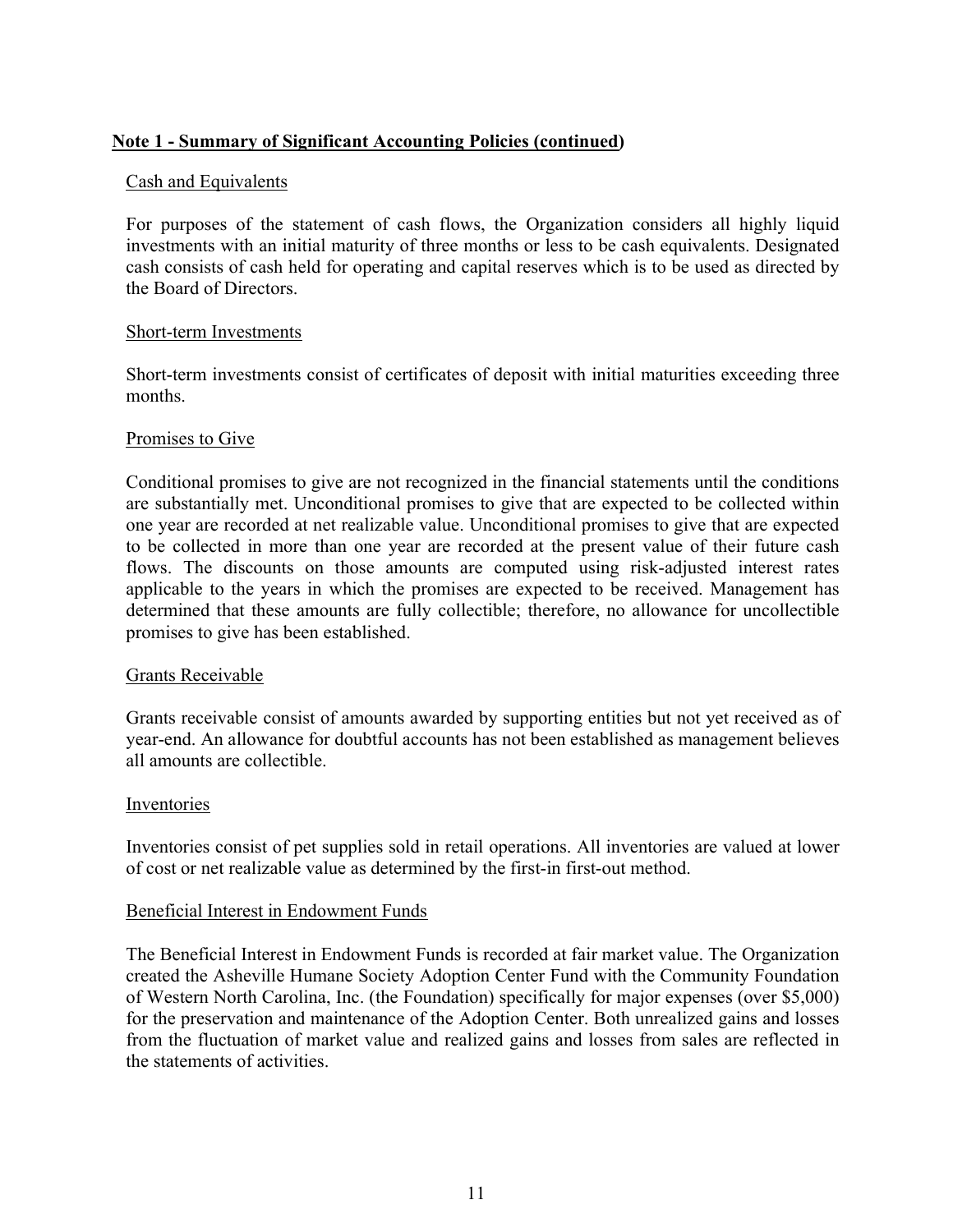#### Cash and Equivalents

For purposes of the statement of cash flows, the Organization considers all highly liquid investments with an initial maturity of three months or less to be cash equivalents. Designated cash consists of cash held for operating and capital reserves which is to be used as directed by the Board of Directors.

#### Short-term Investments

Short-term investments consist of certificates of deposit with initial maturities exceeding three months.

#### Promises to Give

Conditional promises to give are not recognized in the financial statements until the conditions are substantially met. Unconditional promises to give that are expected to be collected within one year are recorded at net realizable value. Unconditional promises to give that are expected to be collected in more than one year are recorded at the present value of their future cash flows. The discounts on those amounts are computed using risk-adjusted interest rates applicable to the years in which the promises are expected to be received. Management has determined that these amounts are fully collectible; therefore, no allowance for uncollectible promises to give has been established.

### Grants Receivable

Grants receivable consist of amounts awarded by supporting entities but not yet received as of year-end. An allowance for doubtful accounts has not been established as management believes all amounts are collectible.

#### Inventories

Inventories consist of pet supplies sold in retail operations. All inventories are valued at lower of cost or net realizable value as determined by the first-in first-out method.

#### Beneficial Interest in Endowment Funds

The Beneficial Interest in Endowment Funds is recorded at fair market value. The Organization created the Asheville Humane Society Adoption Center Fund with the Community Foundation of Western North Carolina, Inc. (the Foundation) specifically for major expenses (over \$5,000) for the preservation and maintenance of the Adoption Center. Both unrealized gains and losses from the fluctuation of market value and realized gains and losses from sales are reflected in the statements of activities.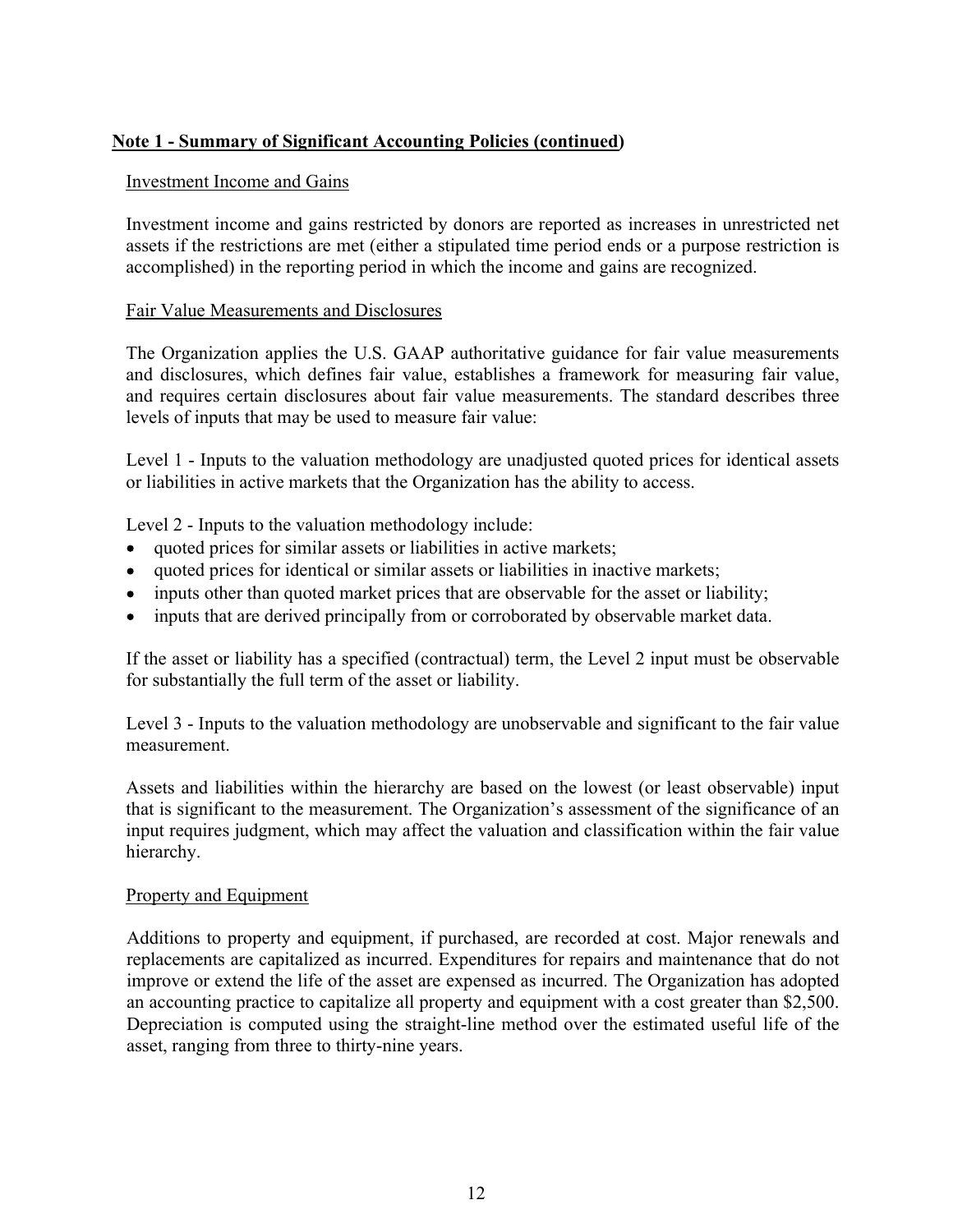#### Investment Income and Gains

Investment income and gains restricted by donors are reported as increases in unrestricted net assets if the restrictions are met (either a stipulated time period ends or a purpose restriction is accomplished) in the reporting period in which the income and gains are recognized.

#### Fair Value Measurements and Disclosures

The Organization applies the U.S. GAAP authoritative guidance for fair value measurements and disclosures, which defines fair value, establishes a framework for measuring fair value, and requires certain disclosures about fair value measurements. The standard describes three levels of inputs that may be used to measure fair value:

Level 1 - Inputs to the valuation methodology are unadjusted quoted prices for identical assets or liabilities in active markets that the Organization has the ability to access.

Level 2 - Inputs to the valuation methodology include:

- quoted prices for similar assets or liabilities in active markets;
- quoted prices for identical or similar assets or liabilities in inactive markets;  $\bullet$
- inputs other than quoted market prices that are observable for the asset or liability;
- inputs that are derived principally from or corroborated by observable market data.  $\bullet$

If the asset or liability has a specified (contractual) term, the Level 2 input must be observable for substantially the full term of the asset or liability.

Level 3 - Inputs to the valuation methodology are unobservable and significant to the fair value measurement.

Assets and liabilities within the hierarchy are based on the lowest (or least observable) input that is significant to the measurement. The Organization's assessment of the significance of an input requires judgment, which may affect the valuation and classification within the fair value hierarchy.

#### Property and Equipment

Additions to property and equipment, if purchased, are recorded at cost. Major renewals and replacements are capitalized as incurred. Expenditures for repairs and maintenance that do not improve or extend the life of the asset are expensed as incurred. The Organization has adopted an accounting practice to capitalize all property and equipment with a cost greater than \$2,500. Depreciation is computed using the straight-line method over the estimated useful life of the asset, ranging from three to thirty-nine years.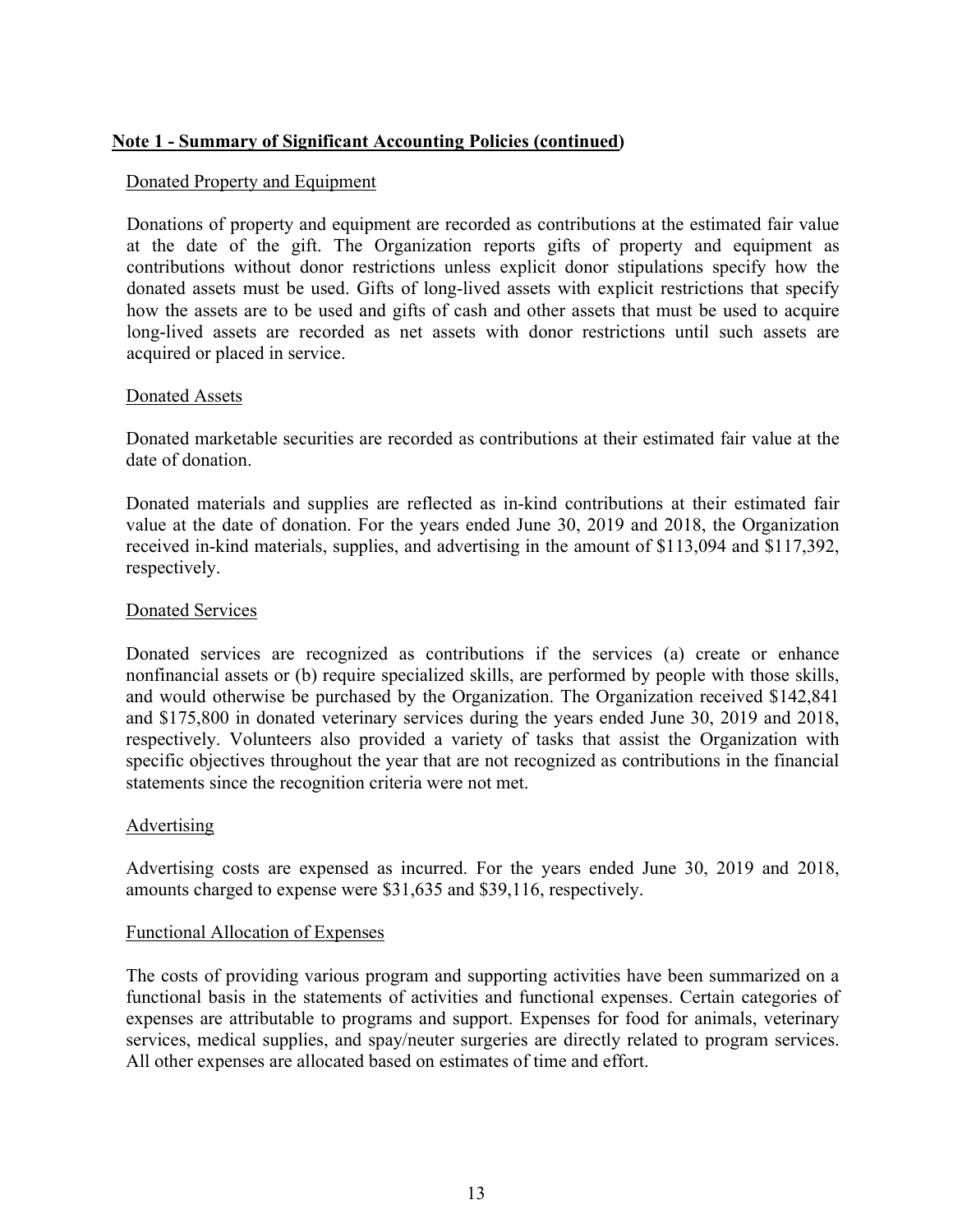#### Donated Property and Equipment

Donations of property and equipment are recorded as contributions at the estimated fair value at the date of the gift. The Organization reports gifts of property and equipment as contributions without donor restrictions unless explicit donor stipulations specify how the donated assets must be used. Gifts of long-lived assets with explicit restrictions that specify how the assets are to be used and gifts of cash and other assets that must be used to acquire long-lived assets are recorded as net assets with donor restrictions until such assets are acquired or placed in service.

#### Donated Assets

Donated marketable securities are recorded as contributions at their estimated fair value at the date of donation.

Donated materials and supplies are reflected as in-kind contributions at their estimated fair value at the date of donation. For the years ended June 30, 2019 and 2018, the Organization received in-kind materials, supplies, and advertising in the amount of \$113,094 and \$117,392, respectively.

#### Donated Services

Donated services are recognized as contributions if the services (a) create or enhance nonfinancial assets or (b) require specialized skills, are performed by people with those skills, and would otherwise be purchased by the Organization. The Organization received \$142,841 and \$175,800 in donated veterinary services during the years ended June 30, 2019 and 2018, respectively. Volunteers also provided a variety of tasks that assist the Organization with specific objectives throughout the year that are not recognized as contributions in the financial statements since the recognition criteria were not met.

#### Advertising

Advertising costs are expensed as incurred. For the years ended June 30, 2019 and 2018, amounts charged to expense were \$31,635 and \$39,116, respectively.

#### Functional Allocation of Expenses

The costs of providing various program and supporting activities have been summarized on a functional basis in the statements of activities and functional expenses. Certain categories of expenses are attributable to programs and support. Expenses for food for animals, veterinary services, medical supplies, and spay/neuter surgeries are directly related to program services. All other expenses are allocated based on estimates of time and effort.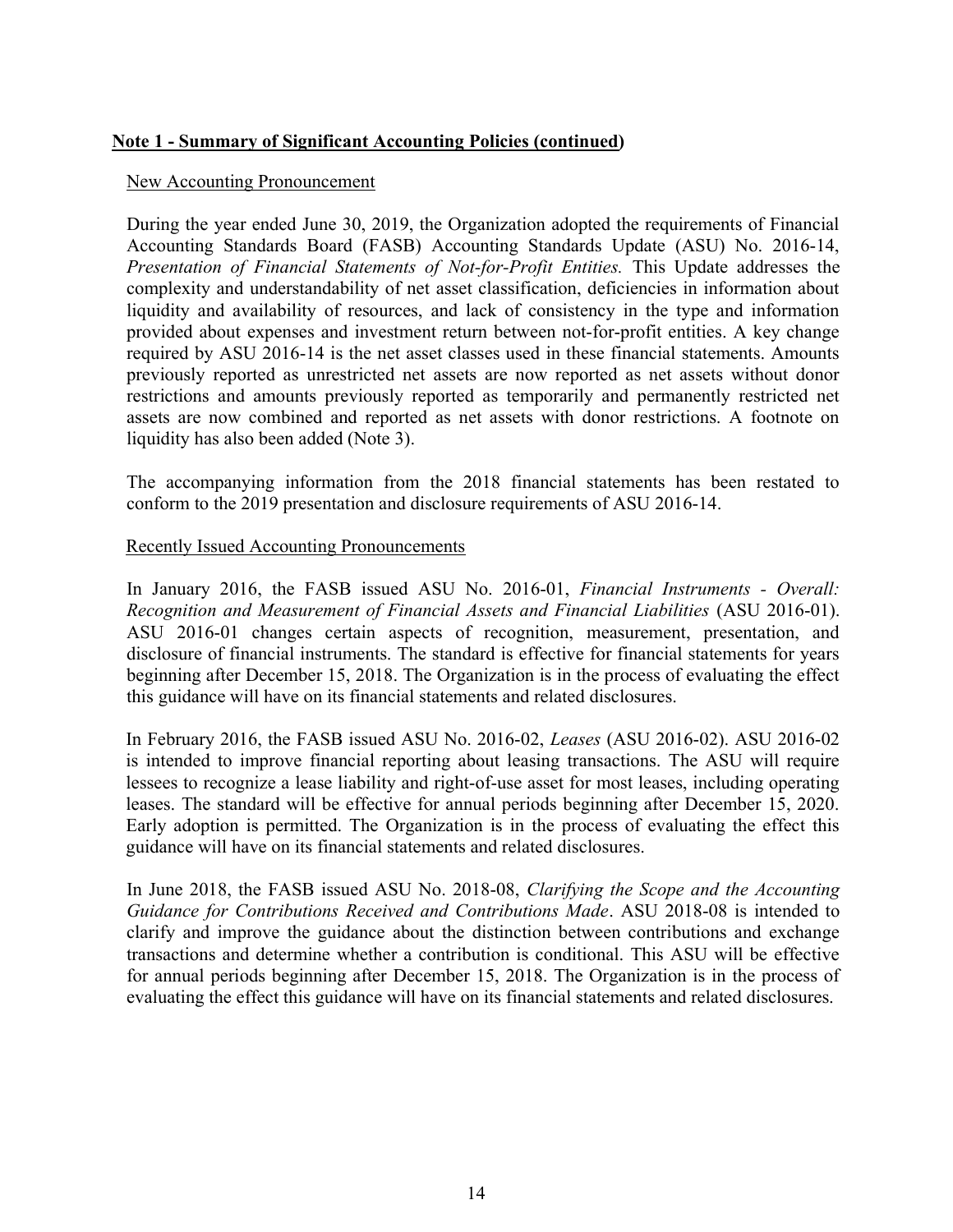#### New Accounting Pronouncement

During the year ended June 30, 2019, the Organization adopted the requirements of Financial Accounting Standards Board (FASB) Accounting Standards Update (ASU) No. 2016-14, Presentation of Financial Statements of Not-for-Profit Entities. This Update addresses the complexity and understandability of net asset classification, deficiencies in information about liquidity and availability of resources, and lack of consistency in the type and information provided about expenses and investment return between not-for-profit entities. A key change required by ASU 2016-14 is the net asset classes used in these financial statements. Amounts previously reported as unrestricted net assets are now reported as net assets without donor restrictions and amounts previously reported as temporarily and permanently restricted net assets are now combined and reported as net assets with donor restrictions. A footnote on liquidity has also been added (Note 3).

The accompanying information from the 2018 financial statements has been restated to conform to the 2019 presentation and disclosure requirements of ASU 2016-14.

#### Recently Issued Accounting Pronouncements

In January 2016, the FASB issued ASU No. 2016-01, Financial Instruments - Overall: Recognition and Measurement of Financial Assets and Financial Liabilities (ASU 2016-01). ASU 2016-01 changes certain aspects of recognition, measurement, presentation, and disclosure of financial instruments. The standard is effective for financial statements for years beginning after December 15, 2018. The Organization is in the process of evaluating the effect this guidance will have on its financial statements and related disclosures.

In February 2016, the FASB issued ASU No. 2016-02, Leases (ASU 2016-02). ASU 2016-02 is intended to improve financial reporting about leasing transactions. The ASU will require lessees to recognize a lease liability and right-of-use asset for most leases, including operating leases. The standard will be effective for annual periods beginning after December 15, 2020. Early adoption is permitted. The Organization is in the process of evaluating the effect this guidance will have on its financial statements and related disclosures.

In June 2018, the FASB issued ASU No. 2018-08, Clarifying the Scope and the Accounting Guidance for Contributions Received and Contributions Made. ASU 2018-08 is intended to clarify and improve the guidance about the distinction between contributions and exchange transactions and determine whether a contribution is conditional. This ASU will be effective for annual periods beginning after December 15, 2018. The Organization is in the process of evaluating the effect this guidance will have on its financial statements and related disclosures.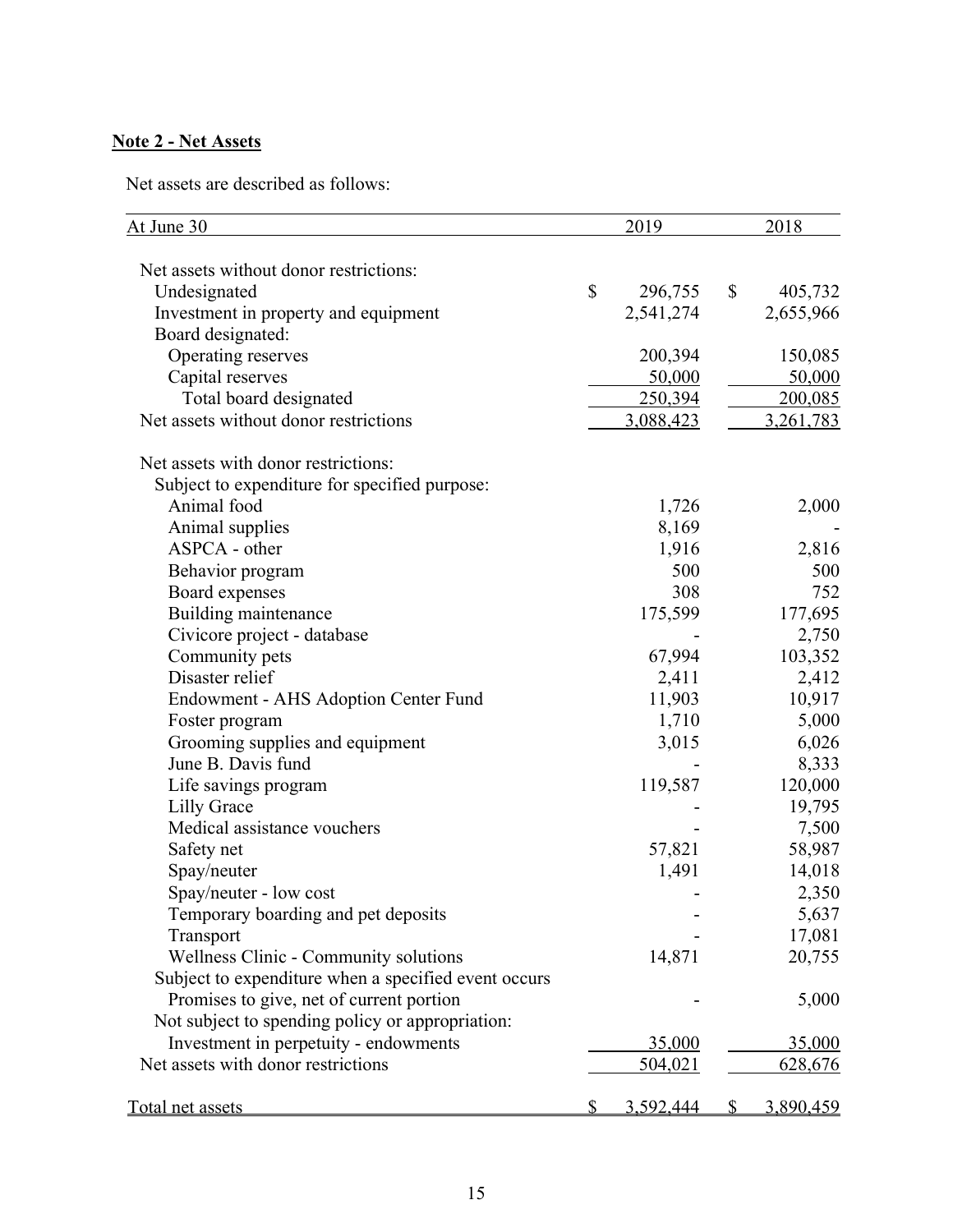# Note 2 - Net Assets

Net assets are described as follows:

| <u>At June 30</u>                                    | 2019          | 2018          |
|------------------------------------------------------|---------------|---------------|
| Net assets without donor restrictions:               |               |               |
| Undesignated                                         | \$<br>296,755 | \$<br>405,732 |
|                                                      | 2,541,274     | 2,655,966     |
| Investment in property and equipment                 |               |               |
| Board designated:                                    | 200,394       | 150,085       |
| Operating reserves                                   |               |               |
| Capital reserves<br>Total board designated           | 50,000        | 50,000        |
|                                                      | 250,394       | 200,085       |
| Net assets without donor restrictions                | 3,088,423     | 3,261,783     |
| Net assets with donor restrictions:                  |               |               |
| Subject to expenditure for specified purpose:        |               |               |
| Animal food                                          | 1,726         | 2,000         |
| Animal supplies                                      | 8,169         |               |
| ASPCA - other                                        | 1,916         | 2,816         |
| Behavior program                                     | 500           | 500           |
| Board expenses                                       | 308           | 752           |
| Building maintenance                                 | 175,599       | 177,695       |
| Civicore project - database                          |               | 2,750         |
| Community pets                                       | 67,994        | 103,352       |
| Disaster relief                                      | 2,411         | 2,412         |
| Endowment - AHS Adoption Center Fund                 | 11,903        | 10,917        |
| Foster program                                       | 1,710         | 5,000         |
| Grooming supplies and equipment                      | 3,015         | 6,026         |
| June B. Davis fund                                   |               | 8,333         |
| Life savings program                                 | 119,587       | 120,000       |
| Lilly Grace                                          |               | 19,795        |
| Medical assistance vouchers                          |               | 7,500         |
| Safety net                                           | 57,821        | 58,987        |
| Spay/neuter                                          | 1,491         | 14,018        |
| Spay/neuter - low cost                               |               | 2,350         |
| Temporary boarding and pet deposits                  |               | 5,637         |
| Transport                                            |               | 17,081        |
| Wellness Clinic - Community solutions                | 14,871        | 20,755        |
| Subject to expenditure when a specified event occurs |               |               |
| Promises to give, net of current portion             |               | 5,000         |
| Not subject to spending policy or appropriation:     |               |               |
| Investment in perpetuity - endowments                | 35,000        | 35,000        |
| Net assets with donor restrictions                   | 504,021       | 628,676       |
|                                                      |               |               |
| Total net assets                                     | 3,592,444     | 3,890,459     |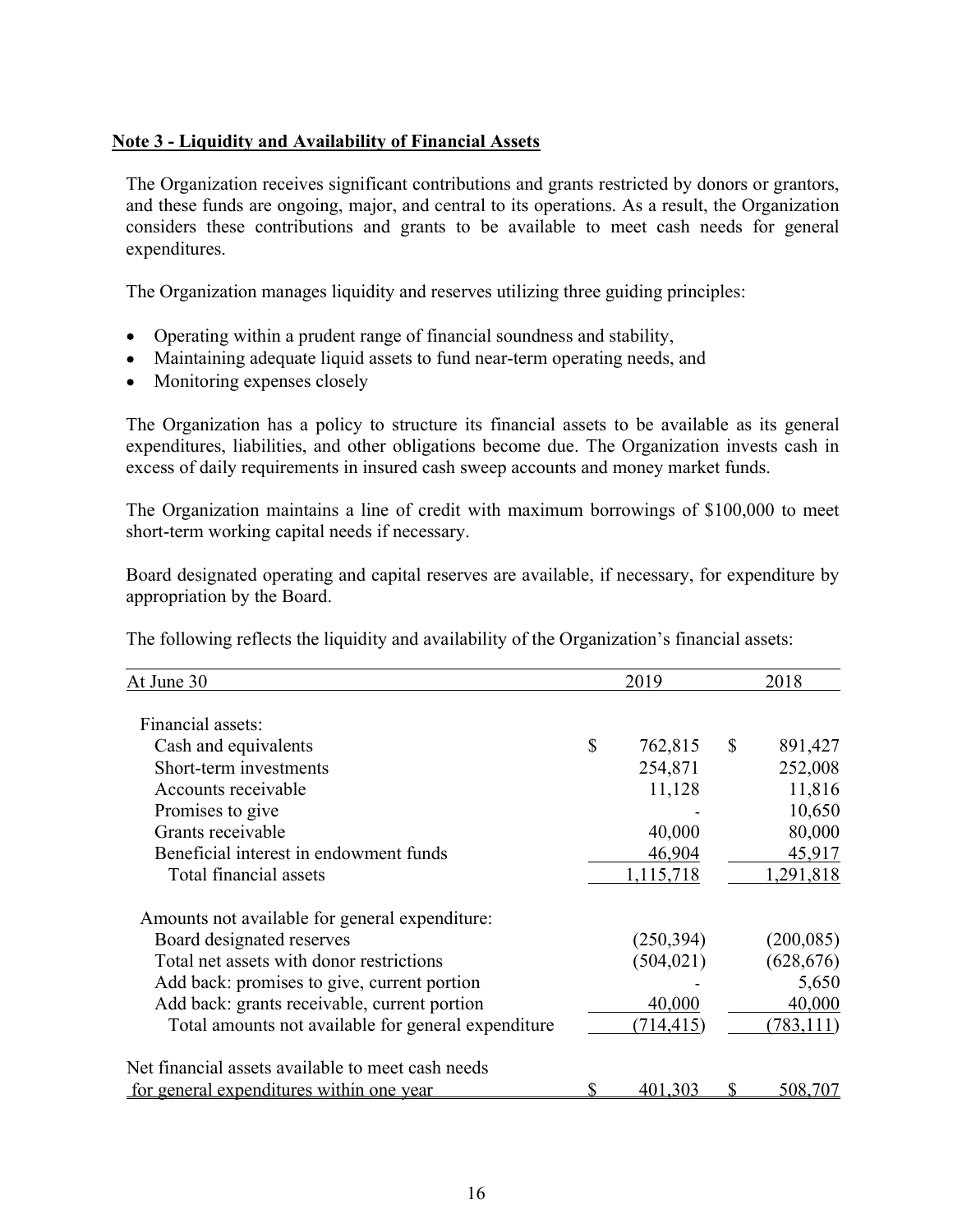#### Note 3 - Liquidity and Availability of Financial Assets

The Organization receives significant contributions and grants restricted by donors or grantors, and these funds are ongoing, major, and central to its operations. As a result, the Organization considers these contributions and grants to be available to meet cash needs for general expenditures.

The Organization manages liquidity and reserves utilizing three guiding principles:

- Operating within a prudent range of financial soundness and stability,
- Maintaining adequate liquid assets to fund near-term operating needs, and  $\bullet$
- Monitoring expenses closely  $\bullet$

The Organization has a policy to structure its financial assets to be available as its general expenditures, liabilities, and other obligations become due. The Organization invests cash in excess of daily requirements in insured cash sweep accounts and money market funds.

The Organization maintains a line of credit with maximum borrowings of \$100,000 to meet short-term working capital needs if necessary.

Board designated operating and capital reserves are available, if necessary, for expenditure by appropriation by the Board.

The following reflects the liquidity and availability of the Organization's financial assets:

| At June 30                                          | 2019          | 2018          |
|-----------------------------------------------------|---------------|---------------|
|                                                     |               |               |
| Financial assets:                                   |               |               |
| Cash and equivalents                                | \$<br>762,815 | \$<br>891,427 |
| Short-term investments                              | 254,871       | 252,008       |
| Accounts receivable                                 | 11,128        | 11,816        |
| Promises to give                                    |               | 10,650        |
| Grants receivable                                   | 40,000        | 80,000        |
| Beneficial interest in endowment funds              | 46,904        | 45,917        |
| Total financial assets                              | 1,115,718     | 1,291,818     |
| Amounts not available for general expenditure:      |               |               |
| Board designated reserves                           | (250, 394)    | (200, 085)    |
| Total net assets with donor restrictions            | (504, 021)    | (628, 676)    |
| Add back: promises to give, current portion         |               | 5,650         |
| Add back: grants receivable, current portion        | 40,000        | 40,000        |
| Total amounts not available for general expenditure | (714, 415)    | (783, 111)    |
| Net financial assets available to meet cash needs   |               |               |
| for general expenditures within one year            | 401,303       | 508,707       |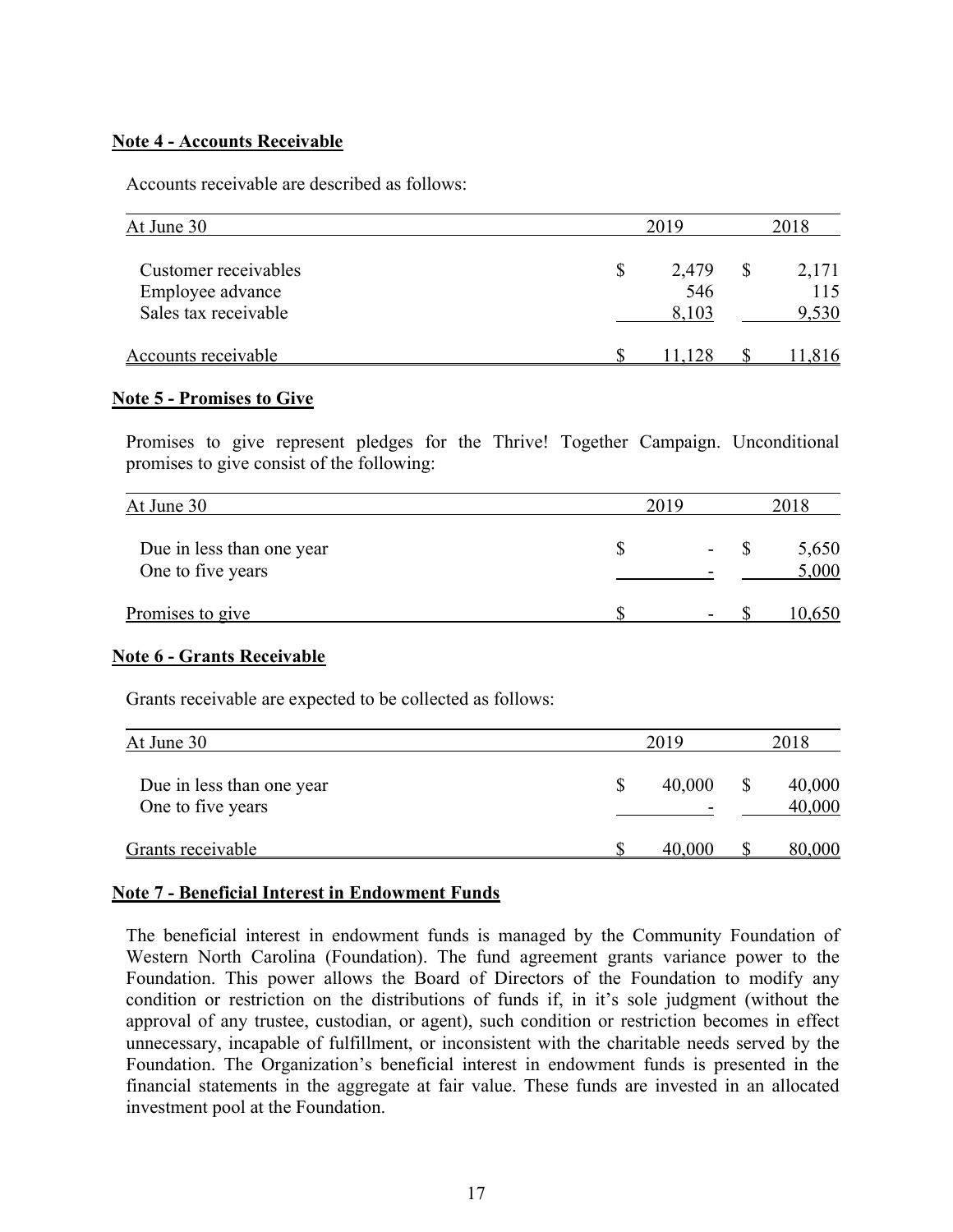#### Note 4 - Accounts Receivable

Accounts receivable are described as follows:

| At June 30                                                       | 2019                        | 2018                  |
|------------------------------------------------------------------|-----------------------------|-----------------------|
| Customer receivables<br>Employee advance<br>Sales tax receivable | \$<br>2,479<br>546<br>8,103 | 2,171<br>115<br>9,530 |
| Accounts receivable                                              | 11.128                      | 11,816                |

#### Note 5 - Promises to Give

Promises to give represent pledges for the Thrive! Together Campaign. Unconditional promises to give consist of the following:

| At June 30                                     | 2019 |                          | 2018           |
|------------------------------------------------|------|--------------------------|----------------|
| Due in less than one year<br>One to five years |      | $\overline{\phantom{a}}$ | 5,650<br>5,000 |
| Promises to give                               |      |                          | 10,650         |

#### Note 6 - Grants Receivable

Grants receivable are expected to be collected as follows:

| At June 30                                     | 2019   | 2018             |
|------------------------------------------------|--------|------------------|
| Due in less than one year<br>One to five years | 40,000 | 40,000<br>40,000 |
| Grants receivable                              | 40,000 | 80,000           |

#### Note 7 - Beneficial Interest in Endowment Funds

The beneficial interest in endowment funds is managed by the Community Foundation of Western North Carolina (Foundation). The fund agreement grants variance power to the Foundation. This power allows the Board of Directors of the Foundation to modify any condition or restriction on the distributions of funds if, in it's sole judgment (without the approval of any trustee, custodian, or agent), such condition or restriction becomes in effect unnecessary, incapable of fulfillment, or inconsistent with the charitable needs served by the Foundation. The Organization's beneficial interest in endowment funds is presented in the financial statements in the aggregate at fair value. These funds are invested in an allocated investment pool at the Foundation.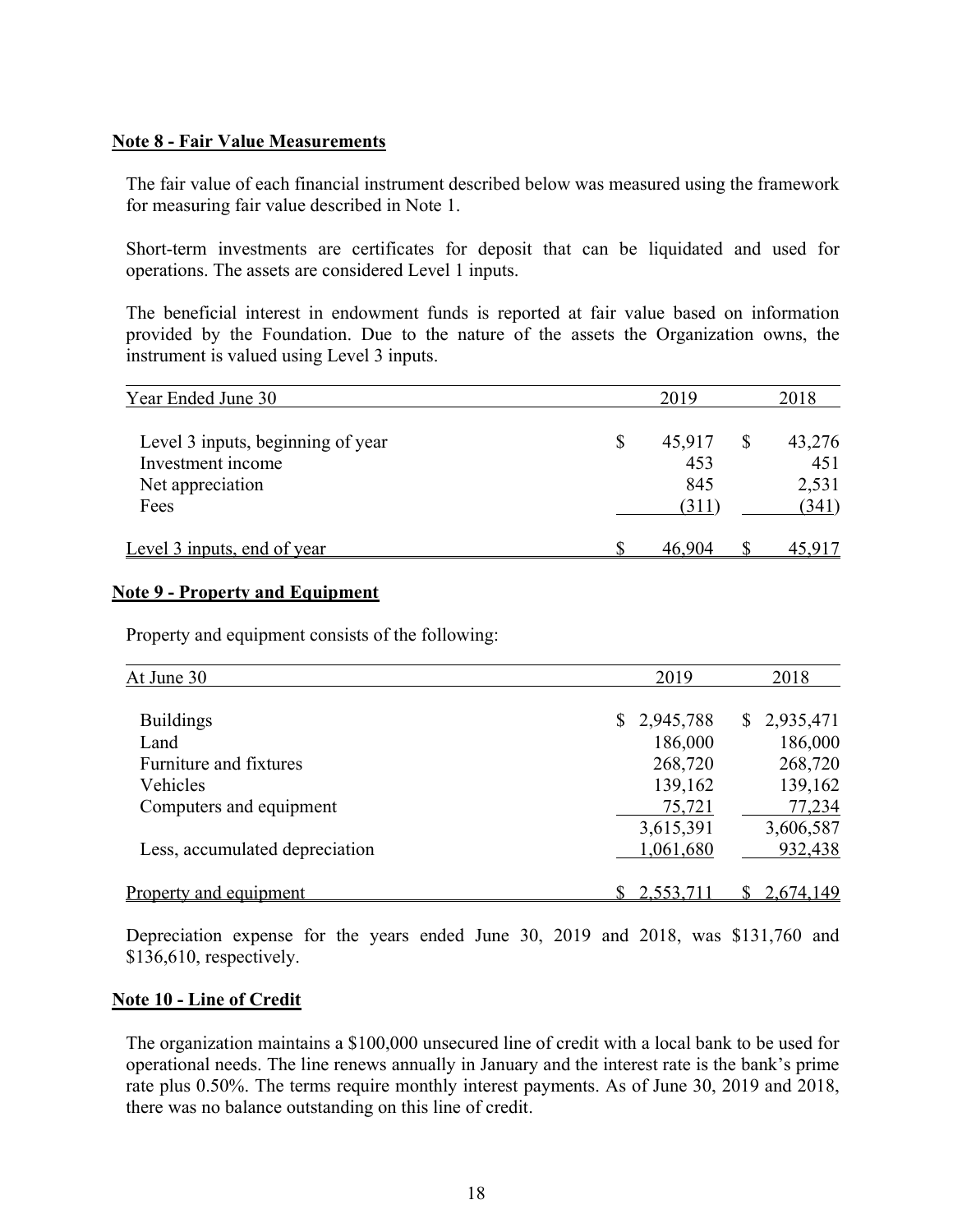#### Note 8 - Fair Value Measurements

The fair value of each financial instrument described below was measured using the framework for measuring fair value described in Note 1.

Short-term investments are certificates for deposit that can be liquidated and used for operations. The assets are considered Level 1 inputs.

The beneficial interest in endowment funds is reported at fair value based on information provided by the Foundation. Due to the nature of the assets the Organization owns, the instrument is valued using Level 3 inputs.

| Year Ended June 30                | 2019         | 2018   |
|-----------------------------------|--------------|--------|
| Level 3 inputs, beginning of year | \$<br>45,917 | 43,276 |
| Investment income                 | 453          | 451    |
| Net appreciation                  | 845          | 2,531  |
| Fees                              | (311)        | (341)  |
| Level 3 inputs, end of year       | 46,904       | 45,917 |

#### Note 9 - Property and Equipment

Property and equipment consists of the following:

| At June 30                     | 2019           | 2018                        |
|--------------------------------|----------------|-----------------------------|
|                                |                |                             |
| <b>Buildings</b>               | 2,945,788<br>S | 2,935,471<br>$\mathbb{S}^-$ |
| Land                           | 186,000        | 186,000                     |
| Furniture and fixtures         | 268,720        | 268,720                     |
| Vehicles                       | 139,162        | 139,162                     |
| Computers and equipment        | 75,721         | 77,234                      |
|                                | 3,615,391      | 3,606,587                   |
| Less, accumulated depreciation | 1,061,680      | 932,438                     |
|                                |                |                             |
| Property and equipment         | 2,553,711      | 2,674,149<br>S.             |

Depreciation expense for the years ended June 30, 2019 and 2018, was \$131,760 and \$136,610, respectively.

#### Note 10 - Line of Credit

The organization maintains a \$100,000 unsecured line of credit with a local bank to be used for operational needs. The line renews annually in January and the interest rate is the bank's prime rate plus 0.50%. The terms require monthly interest payments. As of June 30, 2019 and 2018, there was no balance outstanding on this line of credit.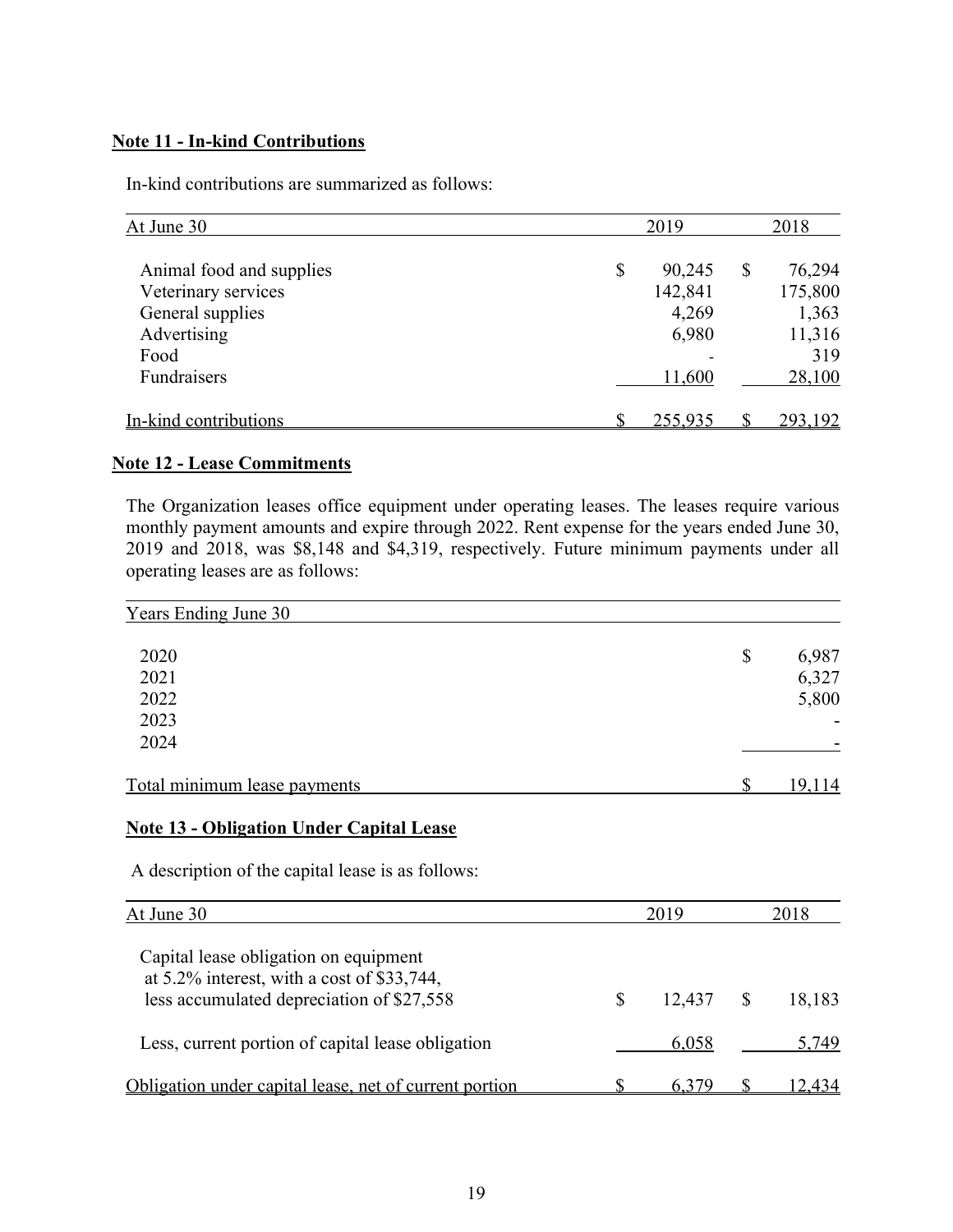#### Note 11 - In-kind Contributions

In-kind contributions are summarized as follows:

| At June 30               | 2019         |    | 2018    |  |
|--------------------------|--------------|----|---------|--|
|                          |              |    |         |  |
| Animal food and supplies | \$<br>90,245 | \$ | 76,294  |  |
| Veterinary services      | 142,841      |    | 175,800 |  |
| General supplies         | 4,269        |    | 1,363   |  |
| Advertising              | 6,980        |    | 11,316  |  |
| Food                     |              |    | 319     |  |
| Fundraisers              | 11,600       |    | 28,100  |  |
| In-kind contributions    | 255,935      |    | 293,192 |  |

### Note 12 - Lease Commitments

The Organization leases office equipment under operating leases. The leases require various monthly payment amounts and expire through 2022. Rent expense for the years ended June 30, 2019 and 2018, was \$8,148 and \$4,319, respectively. Future minimum payments under all operating leases are as follows:

| <b>Years Ending June 30</b>  |             |
|------------------------------|-------------|
| 2020                         | 6,987<br>\$ |
| 2021                         | 6,327       |
| 2022                         | 5,800       |
| 2023                         |             |
| 2024                         |             |
| Total minimum lease payments | σ<br>19,114 |

#### Note 13 - Obligation Under Capital Lease

A description of the capital lease is as follows:

| At June 30                                                                                                                       | 2019 |        | 2018     |        |
|----------------------------------------------------------------------------------------------------------------------------------|------|--------|----------|--------|
| Capital lease obligation on equipment<br>at 5.2% interest, with a cost of \$33,744,<br>less accumulated depreciation of \$27,558 | S    | 12,437 | <b>S</b> | 18,183 |
| Less, current portion of capital lease obligation                                                                                |      | 6,058  |          | 5,749  |
| Obligation under capital lease, net of current portion                                                                           |      | 6379   |          |        |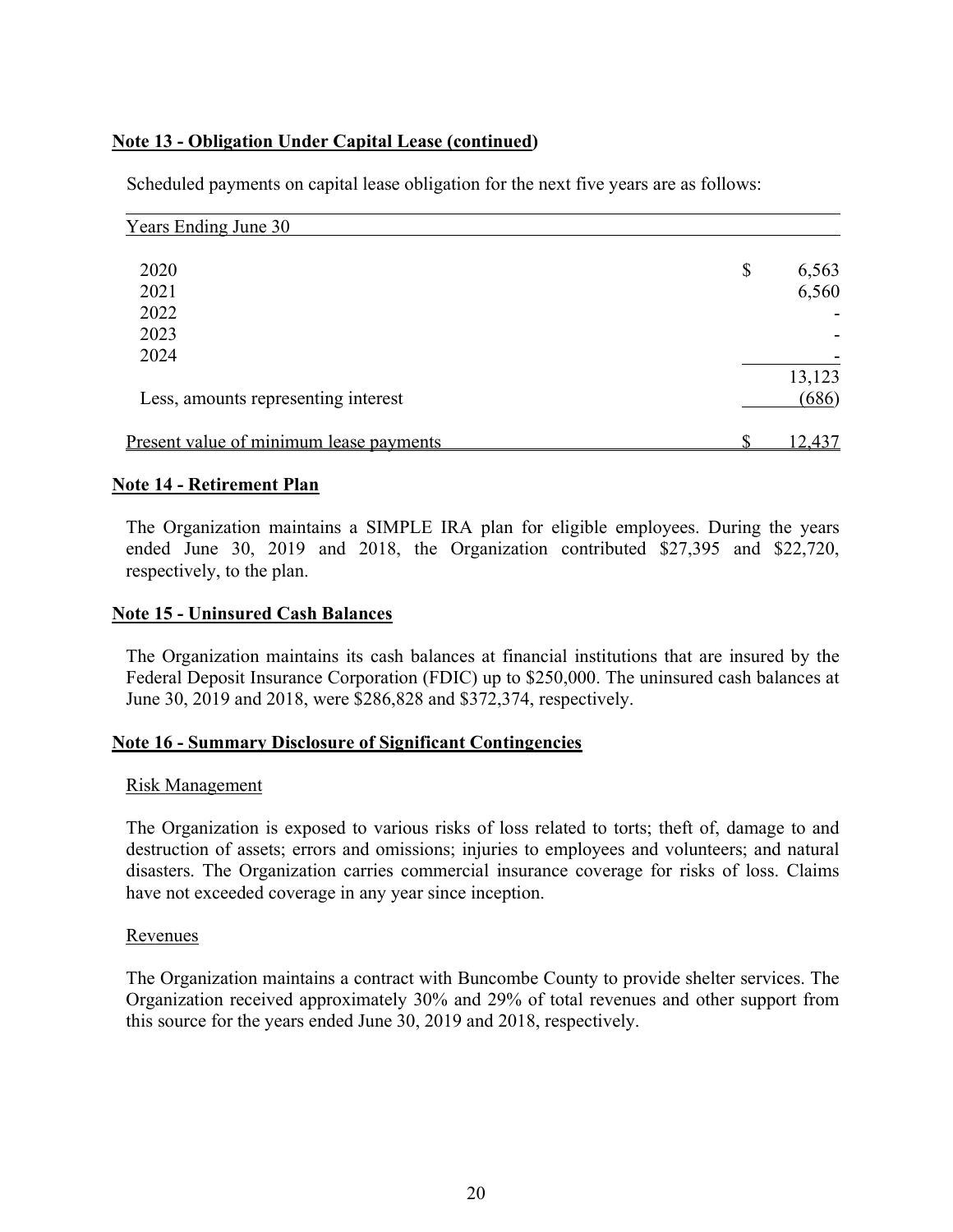#### Note 13 - Obligation Under Capital Lease (continued)

| Years Ending June 30                    |                           |       |
|-----------------------------------------|---------------------------|-------|
| 2020                                    | $\boldsymbol{\mathsf{S}}$ | 6,563 |
| 2021                                    |                           | 6,560 |
| 2022                                    |                           |       |
| 2023                                    |                           |       |
| 2024                                    |                           |       |
|                                         | 13,123                    |       |
| Less, amounts representing interest     |                           | (686) |
| Present value of minimum lease payments | 12,437                    |       |

Scheduled payments on capital lease obligation for the next five years are as follows:

#### Note 14 - Retirement Plan

The Organization maintains a SIMPLE IRA plan for eligible employees. During the years ended June 30, 2019 and 2018, the Organization contributed \$27,395 and \$22,720, respectively, to the plan.

#### Note 15 - Uninsured Cash Balances

The Organization maintains its cash balances at financial institutions that are insured by the Federal Deposit Insurance Corporation (FDIC) up to \$250,000. The uninsured cash balances at June 30, 2019 and 2018, were \$286,828 and \$372,374, respectively.

#### Note 16 - Summary Disclosure of Significant Contingencies

#### Risk Management

The Organization is exposed to various risks of loss related to torts; theft of, damage to and destruction of assets; errors and omissions; injuries to employees and volunteers; and natural disasters. The Organization carries commercial insurance coverage for risks of loss. Claims have not exceeded coverage in any year since inception.

#### Revenues

The Organization maintains a contract with Buncombe County to provide shelter services. The Organization received approximately 30% and 29% of total revenues and other support from this source for the years ended June 30, 2019 and 2018, respectively.